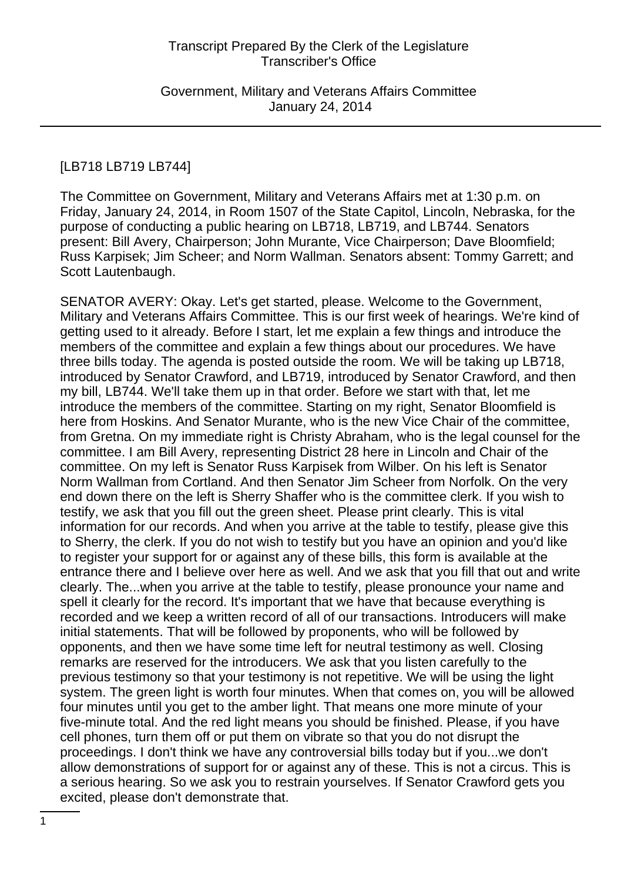# [LB718 LB719 LB744]

The Committee on Government, Military and Veterans Affairs met at 1:30 p.m. on Friday, January 24, 2014, in Room 1507 of the State Capitol, Lincoln, Nebraska, for the purpose of conducting a public hearing on LB718, LB719, and LB744. Senators present: Bill Avery, Chairperson; John Murante, Vice Chairperson; Dave Bloomfield; Russ Karpisek; Jim Scheer; and Norm Wallman. Senators absent: Tommy Garrett; and Scott Lautenbaugh.

SENATOR AVERY: Okay. Let's get started, please. Welcome to the Government, Military and Veterans Affairs Committee. This is our first week of hearings. We're kind of getting used to it already. Before I start, let me explain a few things and introduce the members of the committee and explain a few things about our procedures. We have three bills today. The agenda is posted outside the room. We will be taking up LB718, introduced by Senator Crawford, and LB719, introduced by Senator Crawford, and then my bill, LB744. We'll take them up in that order. Before we start with that, let me introduce the members of the committee. Starting on my right, Senator Bloomfield is here from Hoskins. And Senator Murante, who is the new Vice Chair of the committee, from Gretna. On my immediate right is Christy Abraham, who is the legal counsel for the committee. I am Bill Avery, representing District 28 here in Lincoln and Chair of the committee. On my left is Senator Russ Karpisek from Wilber. On his left is Senator Norm Wallman from Cortland. And then Senator Jim Scheer from Norfolk. On the very end down there on the left is Sherry Shaffer who is the committee clerk. If you wish to testify, we ask that you fill out the green sheet. Please print clearly. This is vital information for our records. And when you arrive at the table to testify, please give this to Sherry, the clerk. If you do not wish to testify but you have an opinion and you'd like to register your support for or against any of these bills, this form is available at the entrance there and I believe over here as well. And we ask that you fill that out and write clearly. The...when you arrive at the table to testify, please pronounce your name and spell it clearly for the record. It's important that we have that because everything is recorded and we keep a written record of all of our transactions. Introducers will make initial statements. That will be followed by proponents, who will be followed by opponents, and then we have some time left for neutral testimony as well. Closing remarks are reserved for the introducers. We ask that you listen carefully to the previous testimony so that your testimony is not repetitive. We will be using the light system. The green light is worth four minutes. When that comes on, you will be allowed four minutes until you get to the amber light. That means one more minute of your five-minute total. And the red light means you should be finished. Please, if you have cell phones, turn them off or put them on vibrate so that you do not disrupt the proceedings. I don't think we have any controversial bills today but if you...we don't allow demonstrations of support for or against any of these. This is not a circus. This is a serious hearing. So we ask you to restrain yourselves. If Senator Crawford gets you excited, please don't demonstrate that.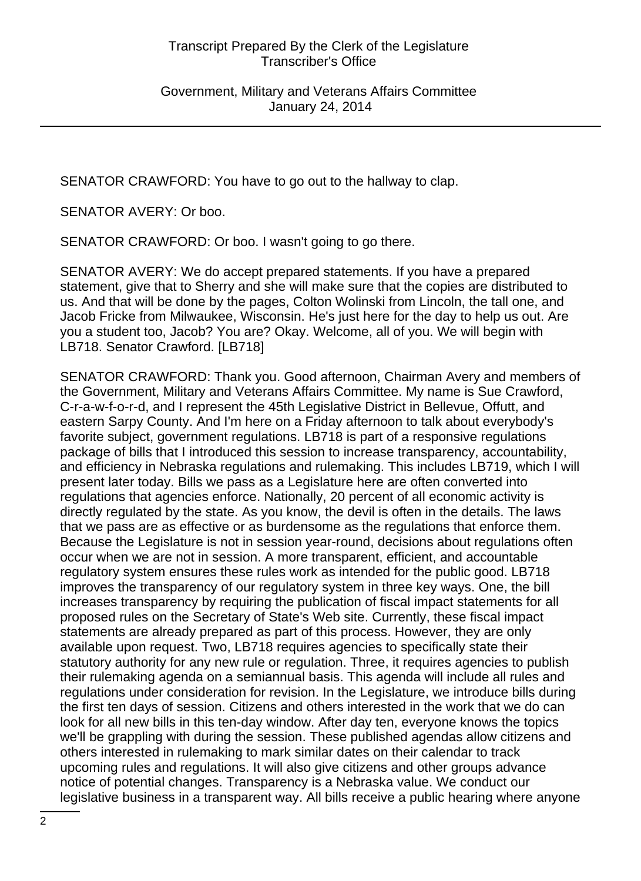SENATOR CRAWFORD: You have to go out to the hallway to clap.

SENATOR AVERY: Or boo.

SENATOR CRAWFORD: Or boo. I wasn't going to go there.

SENATOR AVERY: We do accept prepared statements. If you have a prepared statement, give that to Sherry and she will make sure that the copies are distributed to us. And that will be done by the pages, Colton Wolinski from Lincoln, the tall one, and Jacob Fricke from Milwaukee, Wisconsin. He's just here for the day to help us out. Are you a student too, Jacob? You are? Okay. Welcome, all of you. We will begin with LB718. Senator Crawford. [LB718]

SENATOR CRAWFORD: Thank you. Good afternoon, Chairman Avery and members of the Government, Military and Veterans Affairs Committee. My name is Sue Crawford, C-r-a-w-f-o-r-d, and I represent the 45th Legislative District in Bellevue, Offutt, and eastern Sarpy County. And I'm here on a Friday afternoon to talk about everybody's favorite subject, government regulations. LB718 is part of a responsive regulations package of bills that I introduced this session to increase transparency, accountability, and efficiency in Nebraska regulations and rulemaking. This includes LB719, which I will present later today. Bills we pass as a Legislature here are often converted into regulations that agencies enforce. Nationally, 20 percent of all economic activity is directly regulated by the state. As you know, the devil is often in the details. The laws that we pass are as effective or as burdensome as the regulations that enforce them. Because the Legislature is not in session year-round, decisions about regulations often occur when we are not in session. A more transparent, efficient, and accountable regulatory system ensures these rules work as intended for the public good. LB718 improves the transparency of our regulatory system in three key ways. One, the bill increases transparency by requiring the publication of fiscal impact statements for all proposed rules on the Secretary of State's Web site. Currently, these fiscal impact statements are already prepared as part of this process. However, they are only available upon request. Two, LB718 requires agencies to specifically state their statutory authority for any new rule or regulation. Three, it requires agencies to publish their rulemaking agenda on a semiannual basis. This agenda will include all rules and regulations under consideration for revision. In the Legislature, we introduce bills during the first ten days of session. Citizens and others interested in the work that we do can look for all new bills in this ten-day window. After day ten, everyone knows the topics we'll be grappling with during the session. These published agendas allow citizens and others interested in rulemaking to mark similar dates on their calendar to track upcoming rules and regulations. It will also give citizens and other groups advance notice of potential changes. Transparency is a Nebraska value. We conduct our legislative business in a transparent way. All bills receive a public hearing where anyone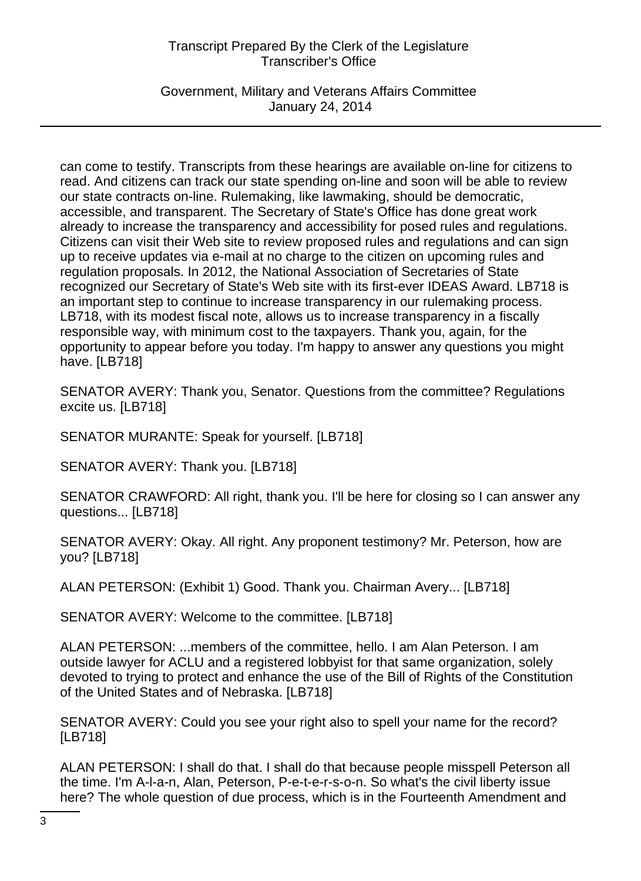Government, Military and Veterans Affairs Committee January 24, 2014

can come to testify. Transcripts from these hearings are available on-line for citizens to read. And citizens can track our state spending on-line and soon will be able to review our state contracts on-line. Rulemaking, like lawmaking, should be democratic, accessible, and transparent. The Secretary of State's Office has done great work already to increase the transparency and accessibility for posed rules and regulations. Citizens can visit their Web site to review proposed rules and regulations and can sign up to receive updates via e-mail at no charge to the citizen on upcoming rules and regulation proposals. In 2012, the National Association of Secretaries of State recognized our Secretary of State's Web site with its first-ever IDEAS Award. LB718 is an important step to continue to increase transparency in our rulemaking process. LB718, with its modest fiscal note, allows us to increase transparency in a fiscally responsible way, with minimum cost to the taxpayers. Thank you, again, for the opportunity to appear before you today. I'm happy to answer any questions you might have. [LB718]

SENATOR AVERY: Thank you, Senator. Questions from the committee? Regulations excite us. [LB718]

SENATOR MURANTE: Speak for yourself. [LB718]

SENATOR AVERY: Thank you. [LB718]

SENATOR CRAWFORD: All right, thank you. I'll be here for closing so I can answer any questions... [LB718]

SENATOR AVERY: Okay. All right. Any proponent testimony? Mr. Peterson, how are you? [LB718]

ALAN PETERSON: (Exhibit 1) Good. Thank you. Chairman Avery... [LB718]

SENATOR AVERY: Welcome to the committee. [LB718]

ALAN PETERSON: ...members of the committee, hello. I am Alan Peterson. I am outside lawyer for ACLU and a registered lobbyist for that same organization, solely devoted to trying to protect and enhance the use of the Bill of Rights of the Constitution of the United States and of Nebraska. [LB718]

SENATOR AVERY: Could you see your right also to spell your name for the record? [LB718]

ALAN PETERSON: I shall do that. I shall do that because people misspell Peterson all the time. I'm A-l-a-n, Alan, Peterson, P-e-t-e-r-s-o-n. So what's the civil liberty issue here? The whole question of due process, which is in the Fourteenth Amendment and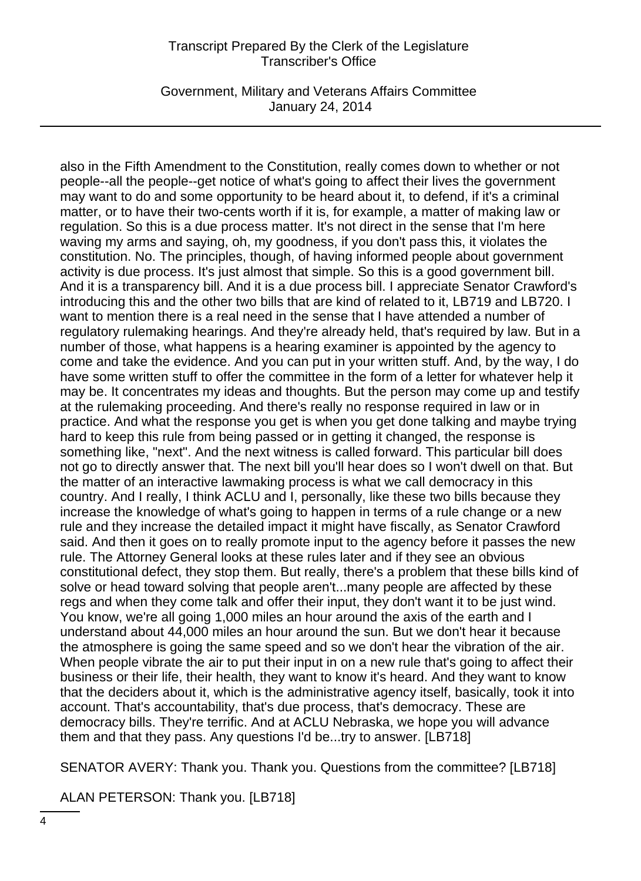Government, Military and Veterans Affairs Committee January 24, 2014

also in the Fifth Amendment to the Constitution, really comes down to whether or not people--all the people--get notice of what's going to affect their lives the government may want to do and some opportunity to be heard about it, to defend, if it's a criminal matter, or to have their two-cents worth if it is, for example, a matter of making law or regulation. So this is a due process matter. It's not direct in the sense that I'm here waving my arms and saying, oh, my goodness, if you don't pass this, it violates the constitution. No. The principles, though, of having informed people about government activity is due process. It's just almost that simple. So this is a good government bill. And it is a transparency bill. And it is a due process bill. I appreciate Senator Crawford's introducing this and the other two bills that are kind of related to it, LB719 and LB720. I want to mention there is a real need in the sense that I have attended a number of regulatory rulemaking hearings. And they're already held, that's required by law. But in a number of those, what happens is a hearing examiner is appointed by the agency to come and take the evidence. And you can put in your written stuff. And, by the way, I do have some written stuff to offer the committee in the form of a letter for whatever help it may be. It concentrates my ideas and thoughts. But the person may come up and testify at the rulemaking proceeding. And there's really no response required in law or in practice. And what the response you get is when you get done talking and maybe trying hard to keep this rule from being passed or in getting it changed, the response is something like, "next". And the next witness is called forward. This particular bill does not go to directly answer that. The next bill you'll hear does so I won't dwell on that. But the matter of an interactive lawmaking process is what we call democracy in this country. And I really, I think ACLU and I, personally, like these two bills because they increase the knowledge of what's going to happen in terms of a rule change or a new rule and they increase the detailed impact it might have fiscally, as Senator Crawford said. And then it goes on to really promote input to the agency before it passes the new rule. The Attorney General looks at these rules later and if they see an obvious constitutional defect, they stop them. But really, there's a problem that these bills kind of solve or head toward solving that people aren't...many people are affected by these regs and when they come talk and offer their input, they don't want it to be just wind. You know, we're all going 1,000 miles an hour around the axis of the earth and I understand about 44,000 miles an hour around the sun. But we don't hear it because the atmosphere is going the same speed and so we don't hear the vibration of the air. When people vibrate the air to put their input in on a new rule that's going to affect their business or their life, their health, they want to know it's heard. And they want to know that the deciders about it, which is the administrative agency itself, basically, took it into account. That's accountability, that's due process, that's democracy. These are democracy bills. They're terrific. And at ACLU Nebraska, we hope you will advance them and that they pass. Any questions I'd be...try to answer. [LB718]

SENATOR AVERY: Thank you. Thank you. Questions from the committee? [LB718]

ALAN PETERSON: Thank you. [LB718]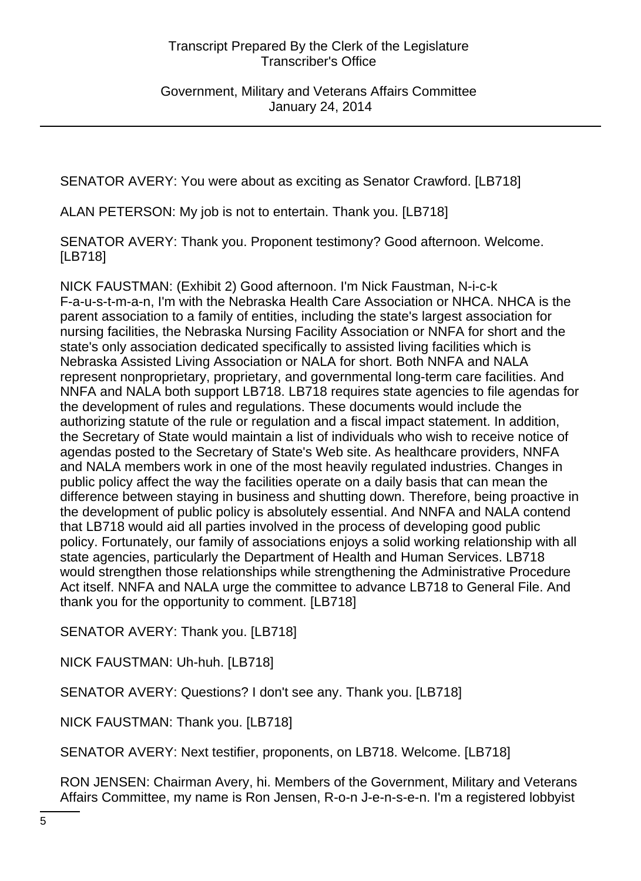SENATOR AVERY: You were about as exciting as Senator Crawford. [LB718]

ALAN PETERSON: My job is not to entertain. Thank you. [LB718]

SENATOR AVERY: Thank you. Proponent testimony? Good afternoon. Welcome. [LB718]

NICK FAUSTMAN: (Exhibit 2) Good afternoon. I'm Nick Faustman, N-i-c-k F-a-u-s-t-m-a-n, I'm with the Nebraska Health Care Association or NHCA. NHCA is the parent association to a family of entities, including the state's largest association for nursing facilities, the Nebraska Nursing Facility Association or NNFA for short and the state's only association dedicated specifically to assisted living facilities which is Nebraska Assisted Living Association or NALA for short. Both NNFA and NALA represent nonproprietary, proprietary, and governmental long-term care facilities. And NNFA and NALA both support LB718. LB718 requires state agencies to file agendas for the development of rules and regulations. These documents would include the authorizing statute of the rule or regulation and a fiscal impact statement. In addition, the Secretary of State would maintain a list of individuals who wish to receive notice of agendas posted to the Secretary of State's Web site. As healthcare providers, NNFA and NALA members work in one of the most heavily regulated industries. Changes in public policy affect the way the facilities operate on a daily basis that can mean the difference between staying in business and shutting down. Therefore, being proactive in the development of public policy is absolutely essential. And NNFA and NALA contend that LB718 would aid all parties involved in the process of developing good public policy. Fortunately, our family of associations enjoys a solid working relationship with all state agencies, particularly the Department of Health and Human Services. LB718 would strengthen those relationships while strengthening the Administrative Procedure Act itself. NNFA and NALA urge the committee to advance LB718 to General File. And thank you for the opportunity to comment. [LB718]

SENATOR AVERY: Thank you. [LB718]

NICK FAUSTMAN: Uh-huh. [LB718]

SENATOR AVERY: Questions? I don't see any. Thank you. [LB718]

NICK FAUSTMAN: Thank you. [LB718]

SENATOR AVERY: Next testifier, proponents, on LB718. Welcome. [LB718]

RON JENSEN: Chairman Avery, hi. Members of the Government, Military and Veterans Affairs Committee, my name is Ron Jensen, R-o-n J-e-n-s-e-n. I'm a registered lobbyist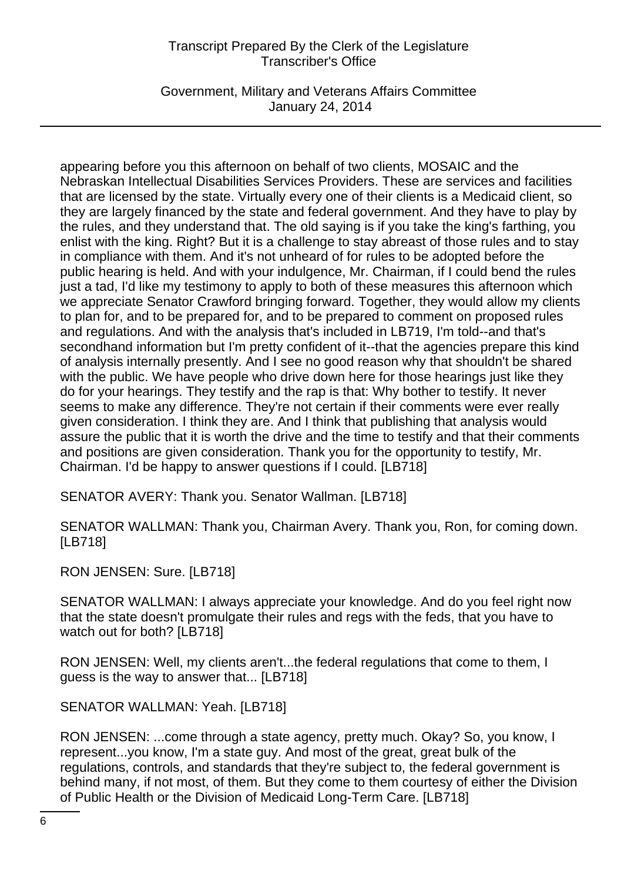Government, Military and Veterans Affairs Committee January 24, 2014

appearing before you this afternoon on behalf of two clients, MOSAIC and the Nebraskan Intellectual Disabilities Services Providers. These are services and facilities that are licensed by the state. Virtually every one of their clients is a Medicaid client, so they are largely financed by the state and federal government. And they have to play by the rules, and they understand that. The old saying is if you take the king's farthing, you enlist with the king. Right? But it is a challenge to stay abreast of those rules and to stay in compliance with them. And it's not unheard of for rules to be adopted before the public hearing is held. And with your indulgence, Mr. Chairman, if I could bend the rules just a tad, I'd like my testimony to apply to both of these measures this afternoon which we appreciate Senator Crawford bringing forward. Together, they would allow my clients to plan for, and to be prepared for, and to be prepared to comment on proposed rules and regulations. And with the analysis that's included in LB719, I'm told--and that's secondhand information but I'm pretty confident of it--that the agencies prepare this kind of analysis internally presently. And I see no good reason why that shouldn't be shared with the public. We have people who drive down here for those hearings just like they do for your hearings. They testify and the rap is that: Why bother to testify. It never seems to make any difference. They're not certain if their comments were ever really given consideration. I think they are. And I think that publishing that analysis would assure the public that it is worth the drive and the time to testify and that their comments and positions are given consideration. Thank you for the opportunity to testify, Mr. Chairman. I'd be happy to answer questions if I could. [LB718]

SENATOR AVERY: Thank you. Senator Wallman. [LB718]

SENATOR WALLMAN: Thank you, Chairman Avery. Thank you, Ron, for coming down. [LB718]

RON JENSEN: Sure. [LB718]

SENATOR WALLMAN: I always appreciate your knowledge. And do you feel right now that the state doesn't promulgate their rules and regs with the feds, that you have to watch out for both? [LB718]

RON JENSEN: Well, my clients aren't...the federal regulations that come to them, I guess is the way to answer that... [LB718]

SENATOR WALLMAN: Yeah. [LB718]

RON JENSEN: ...come through a state agency, pretty much. Okay? So, you know, I represent...you know, I'm a state guy. And most of the great, great bulk of the regulations, controls, and standards that they're subject to, the federal government is behind many, if not most, of them. But they come to them courtesy of either the Division of Public Health or the Division of Medicaid Long-Term Care. [LB718]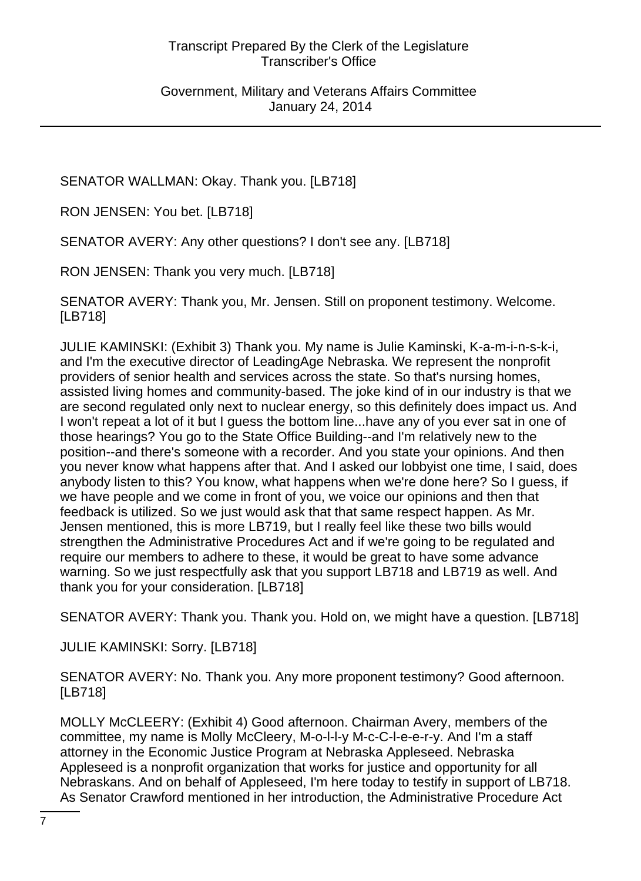SENATOR WALLMAN: Okay. Thank you. [LB718]

RON JENSEN: You bet. [LB718]

SENATOR AVERY: Any other questions? I don't see any. [LB718]

RON JENSEN: Thank you very much. [LB718]

SENATOR AVERY: Thank you, Mr. Jensen. Still on proponent testimony. Welcome. [LB718]

JULIE KAMINSKI: (Exhibit 3) Thank you. My name is Julie Kaminski, K-a-m-i-n-s-k-i, and I'm the executive director of LeadingAge Nebraska. We represent the nonprofit providers of senior health and services across the state. So that's nursing homes, assisted living homes and community-based. The joke kind of in our industry is that we are second regulated only next to nuclear energy, so this definitely does impact us. And I won't repeat a lot of it but I guess the bottom line...have any of you ever sat in one of those hearings? You go to the State Office Building--and I'm relatively new to the position--and there's someone with a recorder. And you state your opinions. And then you never know what happens after that. And I asked our lobbyist one time, I said, does anybody listen to this? You know, what happens when we're done here? So I guess, if we have people and we come in front of you, we voice our opinions and then that feedback is utilized. So we just would ask that that same respect happen. As Mr. Jensen mentioned, this is more LB719, but I really feel like these two bills would strengthen the Administrative Procedures Act and if we're going to be regulated and require our members to adhere to these, it would be great to have some advance warning. So we just respectfully ask that you support LB718 and LB719 as well. And thank you for your consideration. [LB718]

SENATOR AVERY: Thank you. Thank you. Hold on, we might have a question. [LB718]

JULIE KAMINSKI: Sorry. [LB718]

SENATOR AVERY: No. Thank you. Any more proponent testimony? Good afternoon. [LB718]

MOLLY McCLEERY: (Exhibit 4) Good afternoon. Chairman Avery, members of the committee, my name is Molly McCleery, M-o-l-l-y M-c-C-l-e-e-r-y. And I'm a staff attorney in the Economic Justice Program at Nebraska Appleseed. Nebraska Appleseed is a nonprofit organization that works for justice and opportunity for all Nebraskans. And on behalf of Appleseed, I'm here today to testify in support of LB718. As Senator Crawford mentioned in her introduction, the Administrative Procedure Act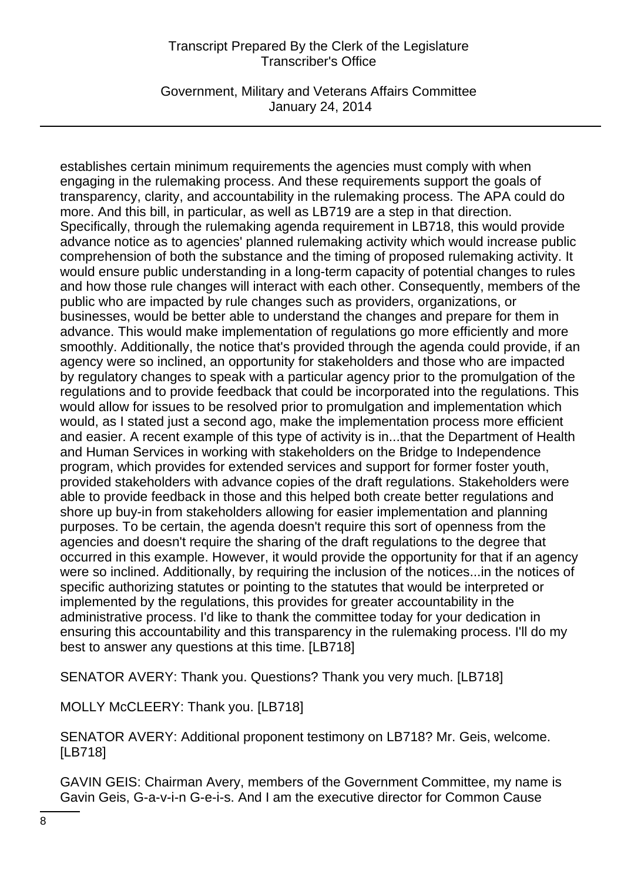Government, Military and Veterans Affairs Committee January 24, 2014

establishes certain minimum requirements the agencies must comply with when engaging in the rulemaking process. And these requirements support the goals of transparency, clarity, and accountability in the rulemaking process. The APA could do more. And this bill, in particular, as well as LB719 are a step in that direction. Specifically, through the rulemaking agenda requirement in LB718, this would provide advance notice as to agencies' planned rulemaking activity which would increase public comprehension of both the substance and the timing of proposed rulemaking activity. It would ensure public understanding in a long-term capacity of potential changes to rules and how those rule changes will interact with each other. Consequently, members of the public who are impacted by rule changes such as providers, organizations, or businesses, would be better able to understand the changes and prepare for them in advance. This would make implementation of regulations go more efficiently and more smoothly. Additionally, the notice that's provided through the agenda could provide, if an agency were so inclined, an opportunity for stakeholders and those who are impacted by regulatory changes to speak with a particular agency prior to the promulgation of the regulations and to provide feedback that could be incorporated into the regulations. This would allow for issues to be resolved prior to promulgation and implementation which would, as I stated just a second ago, make the implementation process more efficient and easier. A recent example of this type of activity is in...that the Department of Health and Human Services in working with stakeholders on the Bridge to Independence program, which provides for extended services and support for former foster youth, provided stakeholders with advance copies of the draft regulations. Stakeholders were able to provide feedback in those and this helped both create better regulations and shore up buy-in from stakeholders allowing for easier implementation and planning purposes. To be certain, the agenda doesn't require this sort of openness from the agencies and doesn't require the sharing of the draft regulations to the degree that occurred in this example. However, it would provide the opportunity for that if an agency were so inclined. Additionally, by requiring the inclusion of the notices...in the notices of specific authorizing statutes or pointing to the statutes that would be interpreted or implemented by the regulations, this provides for greater accountability in the administrative process. I'd like to thank the committee today for your dedication in ensuring this accountability and this transparency in the rulemaking process. I'll do my best to answer any questions at this time. [LB718]

SENATOR AVERY: Thank you. Questions? Thank you very much. [LB718]

MOLLY McCLEERY: Thank you. [LB718]

SENATOR AVERY: Additional proponent testimony on LB718? Mr. Geis, welcome. [LB718]

GAVIN GEIS: Chairman Avery, members of the Government Committee, my name is Gavin Geis, G-a-v-i-n G-e-i-s. And I am the executive director for Common Cause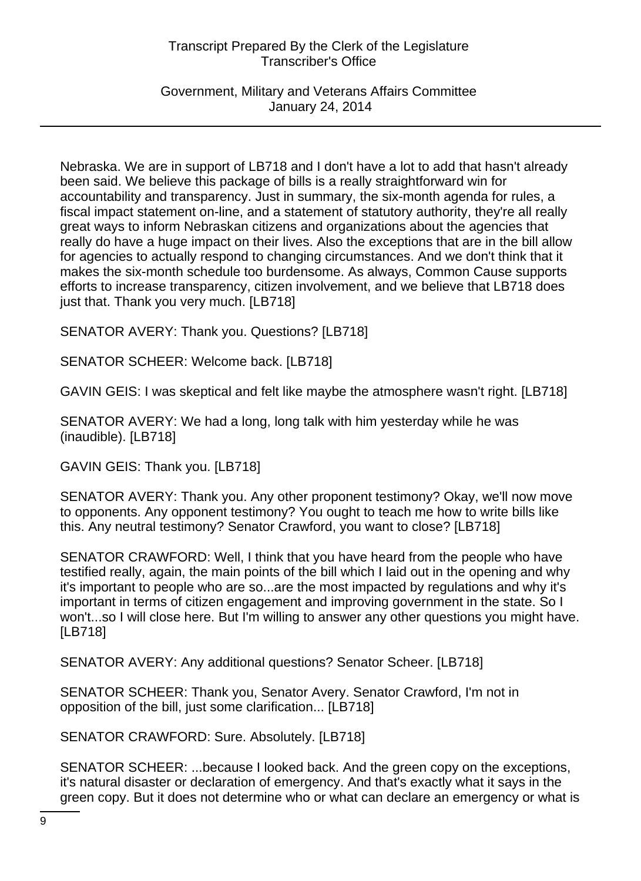Government, Military and Veterans Affairs Committee January 24, 2014

Nebraska. We are in support of LB718 and I don't have a lot to add that hasn't already been said. We believe this package of bills is a really straightforward win for accountability and transparency. Just in summary, the six-month agenda for rules, a fiscal impact statement on-line, and a statement of statutory authority, they're all really great ways to inform Nebraskan citizens and organizations about the agencies that really do have a huge impact on their lives. Also the exceptions that are in the bill allow for agencies to actually respond to changing circumstances. And we don't think that it makes the six-month schedule too burdensome. As always, Common Cause supports efforts to increase transparency, citizen involvement, and we believe that LB718 does just that. Thank you very much. [LB718]

SENATOR AVERY: Thank you. Questions? [LB718]

SENATOR SCHEER: Welcome back. [LB718]

GAVIN GEIS: I was skeptical and felt like maybe the atmosphere wasn't right. [LB718]

SENATOR AVERY: We had a long, long talk with him yesterday while he was (inaudible). [LB718]

GAVIN GEIS: Thank you. [LB718]

SENATOR AVERY: Thank you. Any other proponent testimony? Okay, we'll now move to opponents. Any opponent testimony? You ought to teach me how to write bills like this. Any neutral testimony? Senator Crawford, you want to close? [LB718]

SENATOR CRAWFORD: Well, I think that you have heard from the people who have testified really, again, the main points of the bill which I laid out in the opening and why it's important to people who are so...are the most impacted by regulations and why it's important in terms of citizen engagement and improving government in the state. So I won't...so I will close here. But I'm willing to answer any other questions you might have. [LB718]

SENATOR AVERY: Any additional questions? Senator Scheer. [LB718]

SENATOR SCHEER: Thank you, Senator Avery. Senator Crawford, I'm not in opposition of the bill, just some clarification... [LB718]

SENATOR CRAWFORD: Sure. Absolutely. [LB718]

SENATOR SCHEER: ...because I looked back. And the green copy on the exceptions, it's natural disaster or declaration of emergency. And that's exactly what it says in the green copy. But it does not determine who or what can declare an emergency or what is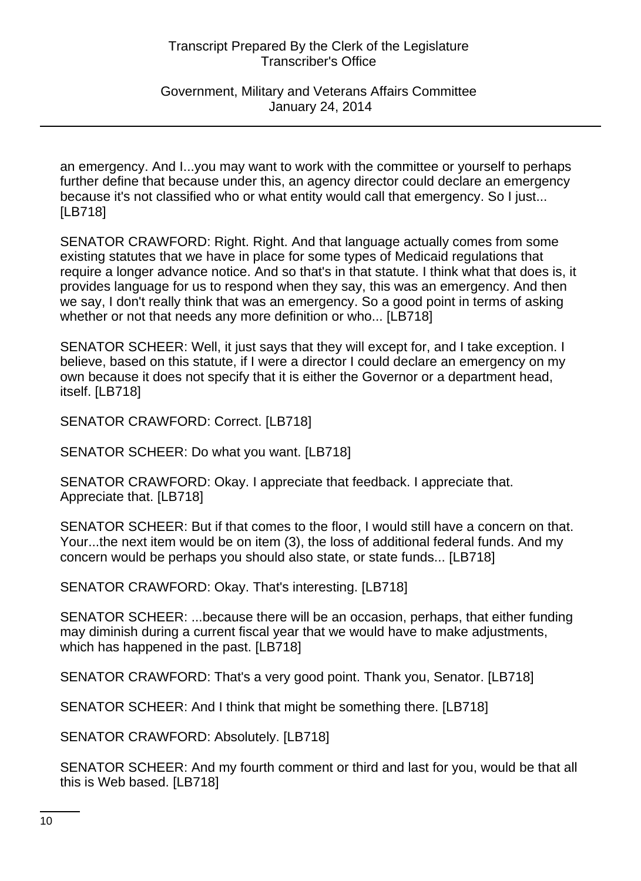Government, Military and Veterans Affairs Committee January 24, 2014

an emergency. And I...you may want to work with the committee or yourself to perhaps further define that because under this, an agency director could declare an emergency because it's not classified who or what entity would call that emergency. So I just... [LB718]

SENATOR CRAWFORD: Right. Right. And that language actually comes from some existing statutes that we have in place for some types of Medicaid regulations that require a longer advance notice. And so that's in that statute. I think what that does is, it provides language for us to respond when they say, this was an emergency. And then we say, I don't really think that was an emergency. So a good point in terms of asking whether or not that needs any more definition or who... [LB718]

SENATOR SCHEER: Well, it just says that they will except for, and I take exception. I believe, based on this statute, if I were a director I could declare an emergency on my own because it does not specify that it is either the Governor or a department head, itself. [LB718]

SENATOR CRAWFORD: Correct. [LB718]

SENATOR SCHEER: Do what you want. [LB718]

SENATOR CRAWFORD: Okay. I appreciate that feedback. I appreciate that. Appreciate that. [LB718]

SENATOR SCHEER: But if that comes to the floor, I would still have a concern on that. Your...the next item would be on item (3), the loss of additional federal funds. And my concern would be perhaps you should also state, or state funds... [LB718]

SENATOR CRAWFORD: Okay. That's interesting. [LB718]

SENATOR SCHEER: ...because there will be an occasion, perhaps, that either funding may diminish during a current fiscal year that we would have to make adjustments, which has happened in the past. [LB718]

SENATOR CRAWFORD: That's a very good point. Thank you, Senator. [LB718]

SENATOR SCHEER: And I think that might be something there. [LB718]

SENATOR CRAWFORD: Absolutely. [LB718]

SENATOR SCHEER: And my fourth comment or third and last for you, would be that all this is Web based. [LB718]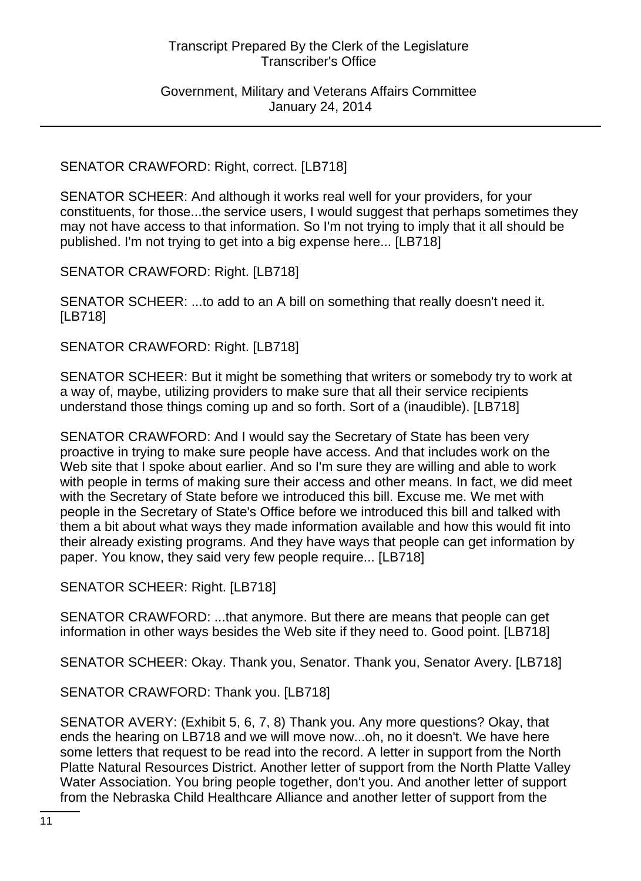# SENATOR CRAWFORD: Right, correct. [LB718]

SENATOR SCHEER: And although it works real well for your providers, for your constituents, for those...the service users, I would suggest that perhaps sometimes they may not have access to that information. So I'm not trying to imply that it all should be published. I'm not trying to get into a big expense here... [LB718]

SENATOR CRAWFORD: Right. [LB718]

SENATOR SCHEER: ...to add to an A bill on something that really doesn't need it. [LB718]

SENATOR CRAWFORD: Right. [LB718]

SENATOR SCHEER: But it might be something that writers or somebody try to work at a way of, maybe, utilizing providers to make sure that all their service recipients understand those things coming up and so forth. Sort of a (inaudible). [LB718]

SENATOR CRAWFORD: And I would say the Secretary of State has been very proactive in trying to make sure people have access. And that includes work on the Web site that I spoke about earlier. And so I'm sure they are willing and able to work with people in terms of making sure their access and other means. In fact, we did meet with the Secretary of State before we introduced this bill. Excuse me. We met with people in the Secretary of State's Office before we introduced this bill and talked with them a bit about what ways they made information available and how this would fit into their already existing programs. And they have ways that people can get information by paper. You know, they said very few people require... [LB718]

SENATOR SCHEER: Right. [LB718]

SENATOR CRAWFORD: ...that anymore. But there are means that people can get information in other ways besides the Web site if they need to. Good point. [LB718]

SENATOR SCHEER: Okay. Thank you, Senator. Thank you, Senator Avery. [LB718]

SENATOR CRAWFORD: Thank you. [LB718]

SENATOR AVERY: (Exhibit 5, 6, 7, 8) Thank you. Any more questions? Okay, that ends the hearing on LB718 and we will move now...oh, no it doesn't. We have here some letters that request to be read into the record. A letter in support from the North Platte Natural Resources District. Another letter of support from the North Platte Valley Water Association. You bring people together, don't you. And another letter of support from the Nebraska Child Healthcare Alliance and another letter of support from the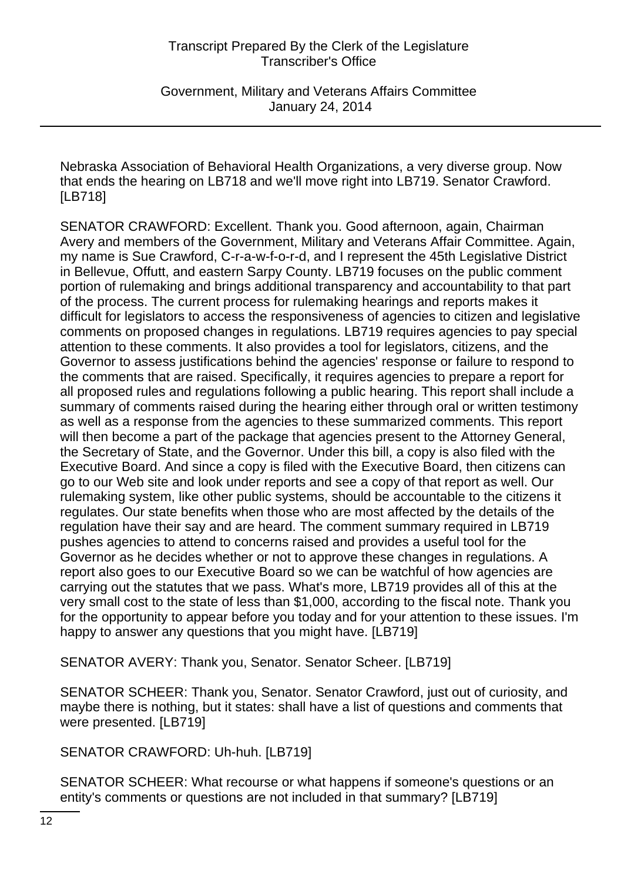Government, Military and Veterans Affairs Committee January 24, 2014

Nebraska Association of Behavioral Health Organizations, a very diverse group. Now that ends the hearing on LB718 and we'll move right into LB719. Senator Crawford. [LB718]

SENATOR CRAWFORD: Excellent. Thank you. Good afternoon, again, Chairman Avery and members of the Government, Military and Veterans Affair Committee. Again, my name is Sue Crawford, C-r-a-w-f-o-r-d, and I represent the 45th Legislative District in Bellevue, Offutt, and eastern Sarpy County. LB719 focuses on the public comment portion of rulemaking and brings additional transparency and accountability to that part of the process. The current process for rulemaking hearings and reports makes it difficult for legislators to access the responsiveness of agencies to citizen and legislative comments on proposed changes in regulations. LB719 requires agencies to pay special attention to these comments. It also provides a tool for legislators, citizens, and the Governor to assess justifications behind the agencies' response or failure to respond to the comments that are raised. Specifically, it requires agencies to prepare a report for all proposed rules and regulations following a public hearing. This report shall include a summary of comments raised during the hearing either through oral or written testimony as well as a response from the agencies to these summarized comments. This report will then become a part of the package that agencies present to the Attorney General, the Secretary of State, and the Governor. Under this bill, a copy is also filed with the Executive Board. And since a copy is filed with the Executive Board, then citizens can go to our Web site and look under reports and see a copy of that report as well. Our rulemaking system, like other public systems, should be accountable to the citizens it regulates. Our state benefits when those who are most affected by the details of the regulation have their say and are heard. The comment summary required in LB719 pushes agencies to attend to concerns raised and provides a useful tool for the Governor as he decides whether or not to approve these changes in regulations. A report also goes to our Executive Board so we can be watchful of how agencies are carrying out the statutes that we pass. What's more, LB719 provides all of this at the very small cost to the state of less than \$1,000, according to the fiscal note. Thank you for the opportunity to appear before you today and for your attention to these issues. I'm happy to answer any questions that you might have. [LB719]

SENATOR AVERY: Thank you, Senator. Senator Scheer. [LB719]

SENATOR SCHEER: Thank you, Senator. Senator Crawford, just out of curiosity, and maybe there is nothing, but it states: shall have a list of questions and comments that were presented. [LB719]

SENATOR CRAWFORD: Uh-huh. [LB719]

SENATOR SCHEER: What recourse or what happens if someone's questions or an entity's comments or questions are not included in that summary? [LB719]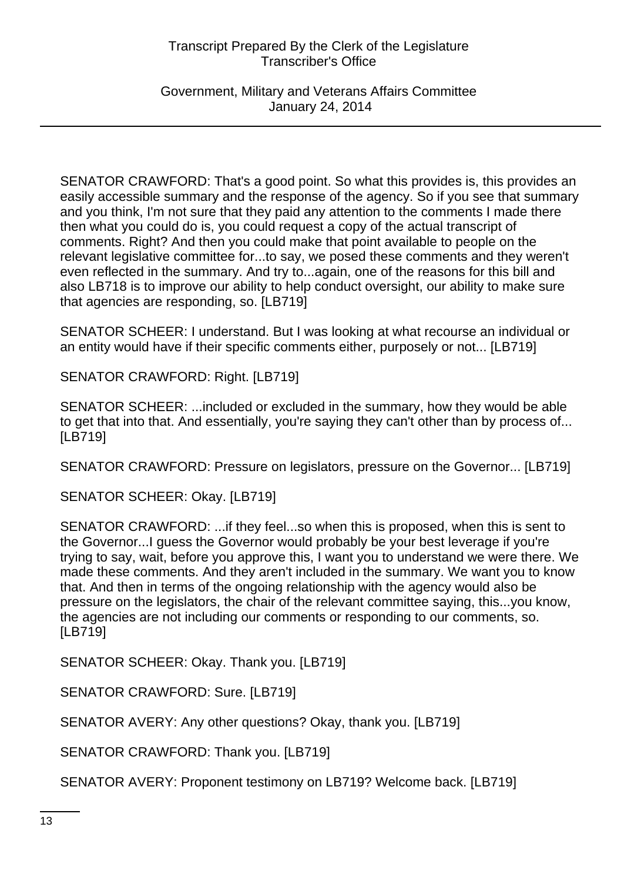Government, Military and Veterans Affairs Committee January 24, 2014

SENATOR CRAWFORD: That's a good point. So what this provides is, this provides an easily accessible summary and the response of the agency. So if you see that summary and you think, I'm not sure that they paid any attention to the comments I made there then what you could do is, you could request a copy of the actual transcript of comments. Right? And then you could make that point available to people on the relevant legislative committee for...to say, we posed these comments and they weren't even reflected in the summary. And try to...again, one of the reasons for this bill and also LB718 is to improve our ability to help conduct oversight, our ability to make sure that agencies are responding, so. [LB719]

SENATOR SCHEER: I understand. But I was looking at what recourse an individual or an entity would have if their specific comments either, purposely or not... [LB719]

SENATOR CRAWFORD: Right. [LB719]

SENATOR SCHEER: ...included or excluded in the summary, how they would be able to get that into that. And essentially, you're saying they can't other than by process of... [LB719]

SENATOR CRAWFORD: Pressure on legislators, pressure on the Governor... [LB719]

SENATOR SCHEER: Okay. [LB719]

SENATOR CRAWFORD: ...if they feel...so when this is proposed, when this is sent to the Governor...I guess the Governor would probably be your best leverage if you're trying to say, wait, before you approve this, I want you to understand we were there. We made these comments. And they aren't included in the summary. We want you to know that. And then in terms of the ongoing relationship with the agency would also be pressure on the legislators, the chair of the relevant committee saying, this...you know, the agencies are not including our comments or responding to our comments, so. [LB719]

SENATOR SCHEER: Okay. Thank you. [LB719]

SENATOR CRAWFORD: Sure. [LB719]

SENATOR AVERY: Any other questions? Okay, thank you. [LB719]

SENATOR CRAWFORD: Thank you. [LB719]

SENATOR AVERY: Proponent testimony on LB719? Welcome back. [LB719]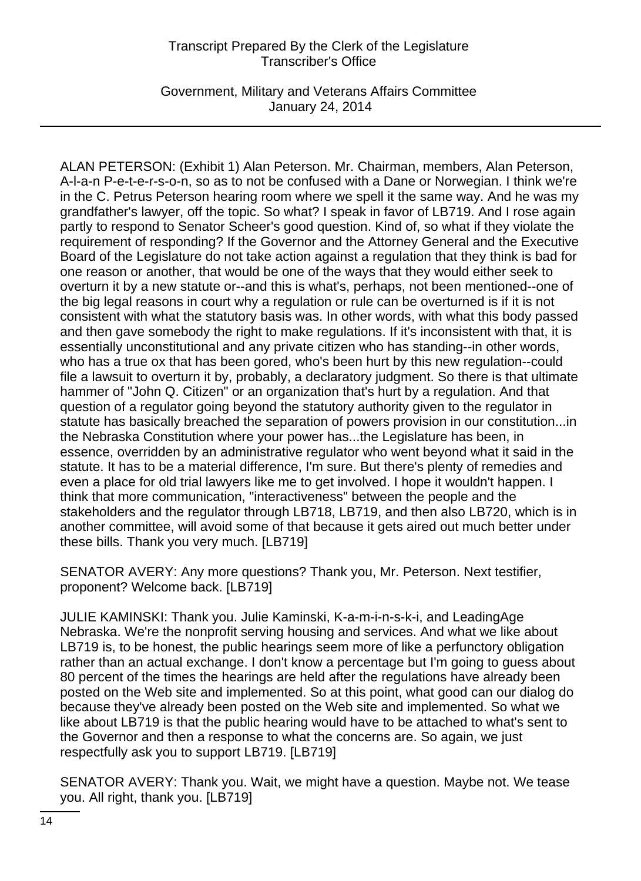Government, Military and Veterans Affairs Committee January 24, 2014

ALAN PETERSON: (Exhibit 1) Alan Peterson. Mr. Chairman, members, Alan Peterson, A-l-a-n P-e-t-e-r-s-o-n, so as to not be confused with a Dane or Norwegian. I think we're in the C. Petrus Peterson hearing room where we spell it the same way. And he was my grandfather's lawyer, off the topic. So what? I speak in favor of LB719. And I rose again partly to respond to Senator Scheer's good question. Kind of, so what if they violate the requirement of responding? If the Governor and the Attorney General and the Executive Board of the Legislature do not take action against a regulation that they think is bad for one reason or another, that would be one of the ways that they would either seek to overturn it by a new statute or--and this is what's, perhaps, not been mentioned--one of the big legal reasons in court why a regulation or rule can be overturned is if it is not consistent with what the statutory basis was. In other words, with what this body passed and then gave somebody the right to make regulations. If it's inconsistent with that, it is essentially unconstitutional and any private citizen who has standing--in other words, who has a true ox that has been gored, who's been hurt by this new regulation--could file a lawsuit to overturn it by, probably, a declaratory judgment. So there is that ultimate hammer of "John Q. Citizen" or an organization that's hurt by a regulation. And that question of a regulator going beyond the statutory authority given to the regulator in statute has basically breached the separation of powers provision in our constitution...in the Nebraska Constitution where your power has...the Legislature has been, in essence, overridden by an administrative regulator who went beyond what it said in the statute. It has to be a material difference, I'm sure. But there's plenty of remedies and even a place for old trial lawyers like me to get involved. I hope it wouldn't happen. I think that more communication, "interactiveness" between the people and the stakeholders and the regulator through LB718, LB719, and then also LB720, which is in another committee, will avoid some of that because it gets aired out much better under these bills. Thank you very much. [LB719]

SENATOR AVERY: Any more questions? Thank you, Mr. Peterson. Next testifier, proponent? Welcome back. [LB719]

JULIE KAMINSKI: Thank you. Julie Kaminski, K-a-m-i-n-s-k-i, and LeadingAge Nebraska. We're the nonprofit serving housing and services. And what we like about LB719 is, to be honest, the public hearings seem more of like a perfunctory obligation rather than an actual exchange. I don't know a percentage but I'm going to guess about 80 percent of the times the hearings are held after the regulations have already been posted on the Web site and implemented. So at this point, what good can our dialog do because they've already been posted on the Web site and implemented. So what we like about LB719 is that the public hearing would have to be attached to what's sent to the Governor and then a response to what the concerns are. So again, we just respectfully ask you to support LB719. [LB719]

SENATOR AVERY: Thank you. Wait, we might have a question. Maybe not. We tease you. All right, thank you. [LB719]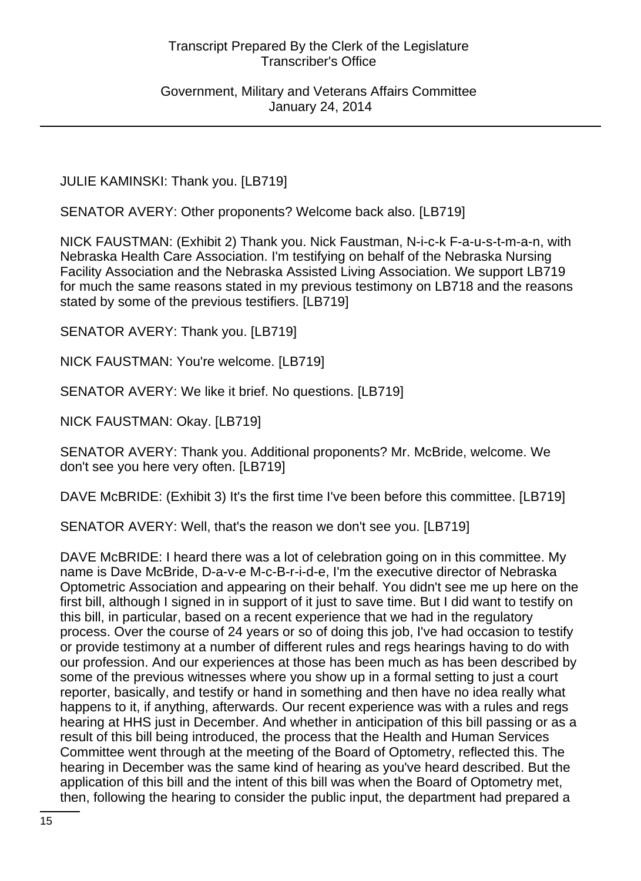Government, Military and Veterans Affairs Committee January 24, 2014

JULIE KAMINSKI: Thank you. [LB719]

SENATOR AVERY: Other proponents? Welcome back also. [LB719]

NICK FAUSTMAN: (Exhibit 2) Thank you. Nick Faustman, N-i-c-k F-a-u-s-t-m-a-n, with Nebraska Health Care Association. I'm testifying on behalf of the Nebraska Nursing Facility Association and the Nebraska Assisted Living Association. We support LB719 for much the same reasons stated in my previous testimony on LB718 and the reasons stated by some of the previous testifiers. [LB719]

SENATOR AVERY: Thank you. [LB719]

NICK FAUSTMAN: You're welcome. [LB719]

SENATOR AVERY: We like it brief. No questions. [LB719]

NICK FAUSTMAN: Okay. [LB719]

SENATOR AVERY: Thank you. Additional proponents? Mr. McBride, welcome. We don't see you here very often. [LB719]

DAVE McBRIDE: (Exhibit 3) It's the first time I've been before this committee. [LB719]

SENATOR AVERY: Well, that's the reason we don't see you. [LB719]

DAVE McBRIDE: I heard there was a lot of celebration going on in this committee. My name is Dave McBride, D-a-v-e M-c-B-r-i-d-e, I'm the executive director of Nebraska Optometric Association and appearing on their behalf. You didn't see me up here on the first bill, although I signed in in support of it just to save time. But I did want to testify on this bill, in particular, based on a recent experience that we had in the regulatory process. Over the course of 24 years or so of doing this job, I've had occasion to testify or provide testimony at a number of different rules and regs hearings having to do with our profession. And our experiences at those has been much as has been described by some of the previous witnesses where you show up in a formal setting to just a court reporter, basically, and testify or hand in something and then have no idea really what happens to it, if anything, afterwards. Our recent experience was with a rules and regs hearing at HHS just in December. And whether in anticipation of this bill passing or as a result of this bill being introduced, the process that the Health and Human Services Committee went through at the meeting of the Board of Optometry, reflected this. The hearing in December was the same kind of hearing as you've heard described. But the application of this bill and the intent of this bill was when the Board of Optometry met, then, following the hearing to consider the public input, the department had prepared a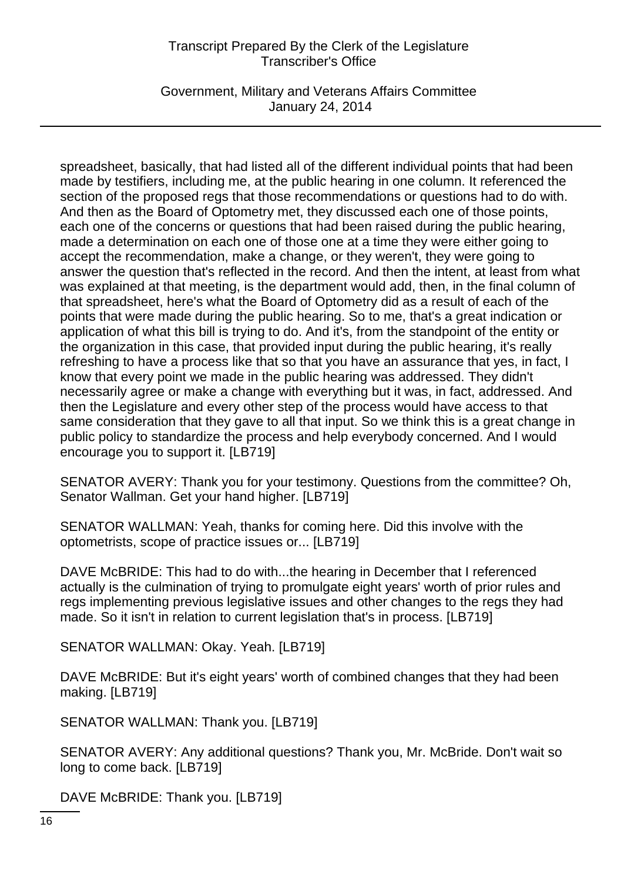Government, Military and Veterans Affairs Committee January 24, 2014

spreadsheet, basically, that had listed all of the different individual points that had been made by testifiers, including me, at the public hearing in one column. It referenced the section of the proposed regs that those recommendations or questions had to do with. And then as the Board of Optometry met, they discussed each one of those points, each one of the concerns or questions that had been raised during the public hearing, made a determination on each one of those one at a time they were either going to accept the recommendation, make a change, or they weren't, they were going to answer the question that's reflected in the record. And then the intent, at least from what was explained at that meeting, is the department would add, then, in the final column of that spreadsheet, here's what the Board of Optometry did as a result of each of the points that were made during the public hearing. So to me, that's a great indication or application of what this bill is trying to do. And it's, from the standpoint of the entity or the organization in this case, that provided input during the public hearing, it's really refreshing to have a process like that so that you have an assurance that yes, in fact, I know that every point we made in the public hearing was addressed. They didn't necessarily agree or make a change with everything but it was, in fact, addressed. And then the Legislature and every other step of the process would have access to that same consideration that they gave to all that input. So we think this is a great change in public policy to standardize the process and help everybody concerned. And I would encourage you to support it. [LB719]

SENATOR AVERY: Thank you for your testimony. Questions from the committee? Oh, Senator Wallman. Get your hand higher. [LB719]

SENATOR WALLMAN: Yeah, thanks for coming here. Did this involve with the optometrists, scope of practice issues or... [LB719]

DAVE McBRIDE: This had to do with...the hearing in December that I referenced actually is the culmination of trying to promulgate eight years' worth of prior rules and regs implementing previous legislative issues and other changes to the regs they had made. So it isn't in relation to current legislation that's in process. [LB719]

SENATOR WALLMAN: Okay. Yeah. [LB719]

DAVE McBRIDE: But it's eight years' worth of combined changes that they had been making. [LB719]

SENATOR WALLMAN: Thank you. [LB719]

SENATOR AVERY: Any additional questions? Thank you, Mr. McBride. Don't wait so long to come back. [LB719]

DAVE McBRIDE: Thank you. [LB719]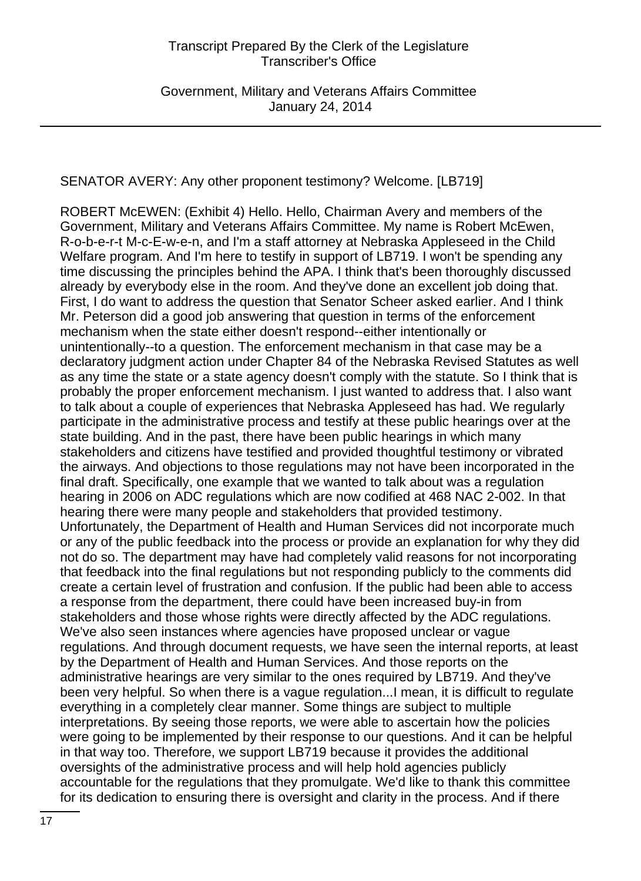# SENATOR AVERY: Any other proponent testimony? Welcome. [LB719]

ROBERT McEWEN: (Exhibit 4) Hello. Hello, Chairman Avery and members of the Government, Military and Veterans Affairs Committee. My name is Robert McEwen, R-o-b-e-r-t M-c-E-w-e-n, and I'm a staff attorney at Nebraska Appleseed in the Child Welfare program. And I'm here to testify in support of LB719. I won't be spending any time discussing the principles behind the APA. I think that's been thoroughly discussed already by everybody else in the room. And they've done an excellent job doing that. First, I do want to address the question that Senator Scheer asked earlier. And I think Mr. Peterson did a good job answering that question in terms of the enforcement mechanism when the state either doesn't respond--either intentionally or unintentionally--to a question. The enforcement mechanism in that case may be a declaratory judgment action under Chapter 84 of the Nebraska Revised Statutes as well as any time the state or a state agency doesn't comply with the statute. So I think that is probably the proper enforcement mechanism. I just wanted to address that. I also want to talk about a couple of experiences that Nebraska Appleseed has had. We regularly participate in the administrative process and testify at these public hearings over at the state building. And in the past, there have been public hearings in which many stakeholders and citizens have testified and provided thoughtful testimony or vibrated the airways. And objections to those regulations may not have been incorporated in the final draft. Specifically, one example that we wanted to talk about was a regulation hearing in 2006 on ADC regulations which are now codified at 468 NAC 2-002. In that hearing there were many people and stakeholders that provided testimony. Unfortunately, the Department of Health and Human Services did not incorporate much or any of the public feedback into the process or provide an explanation for why they did not do so. The department may have had completely valid reasons for not incorporating that feedback into the final regulations but not responding publicly to the comments did create a certain level of frustration and confusion. If the public had been able to access a response from the department, there could have been increased buy-in from stakeholders and those whose rights were directly affected by the ADC regulations. We've also seen instances where agencies have proposed unclear or vague regulations. And through document requests, we have seen the internal reports, at least by the Department of Health and Human Services. And those reports on the administrative hearings are very similar to the ones required by LB719. And they've been very helpful. So when there is a vague regulation...I mean, it is difficult to regulate everything in a completely clear manner. Some things are subject to multiple interpretations. By seeing those reports, we were able to ascertain how the policies were going to be implemented by their response to our questions. And it can be helpful in that way too. Therefore, we support LB719 because it provides the additional oversights of the administrative process and will help hold agencies publicly accountable for the regulations that they promulgate. We'd like to thank this committee for its dedication to ensuring there is oversight and clarity in the process. And if there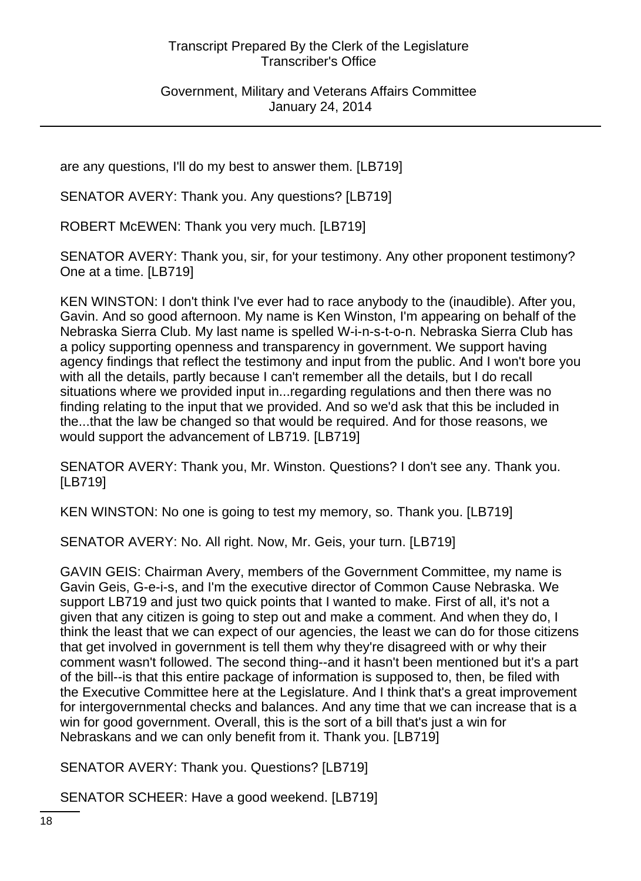Government, Military and Veterans Affairs Committee January 24, 2014

are any questions, I'll do my best to answer them. [LB719]

SENATOR AVERY: Thank you. Any questions? [LB719]

ROBERT McEWEN: Thank you very much. [LB719]

SENATOR AVERY: Thank you, sir, for your testimony. Any other proponent testimony? One at a time. [LB719]

KEN WINSTON: I don't think I've ever had to race anybody to the (inaudible). After you, Gavin. And so good afternoon. My name is Ken Winston, I'm appearing on behalf of the Nebraska Sierra Club. My last name is spelled W-i-n-s-t-o-n. Nebraska Sierra Club has a policy supporting openness and transparency in government. We support having agency findings that reflect the testimony and input from the public. And I won't bore you with all the details, partly because I can't remember all the details, but I do recall situations where we provided input in...regarding regulations and then there was no finding relating to the input that we provided. And so we'd ask that this be included in the...that the law be changed so that would be required. And for those reasons, we would support the advancement of LB719. [LB719]

SENATOR AVERY: Thank you, Mr. Winston. Questions? I don't see any. Thank you. [LB719]

KEN WINSTON: No one is going to test my memory, so. Thank you. [LB719]

SENATOR AVERY: No. All right. Now, Mr. Geis, your turn. [LB719]

GAVIN GEIS: Chairman Avery, members of the Government Committee, my name is Gavin Geis, G-e-i-s, and I'm the executive director of Common Cause Nebraska. We support LB719 and just two quick points that I wanted to make. First of all, it's not a given that any citizen is going to step out and make a comment. And when they do, I think the least that we can expect of our agencies, the least we can do for those citizens that get involved in government is tell them why they're disagreed with or why their comment wasn't followed. The second thing--and it hasn't been mentioned but it's a part of the bill--is that this entire package of information is supposed to, then, be filed with the Executive Committee here at the Legislature. And I think that's a great improvement for intergovernmental checks and balances. And any time that we can increase that is a win for good government. Overall, this is the sort of a bill that's just a win for Nebraskans and we can only benefit from it. Thank you. [LB719]

SENATOR AVERY: Thank you. Questions? [LB719]

SENATOR SCHEER: Have a good weekend. [LB719]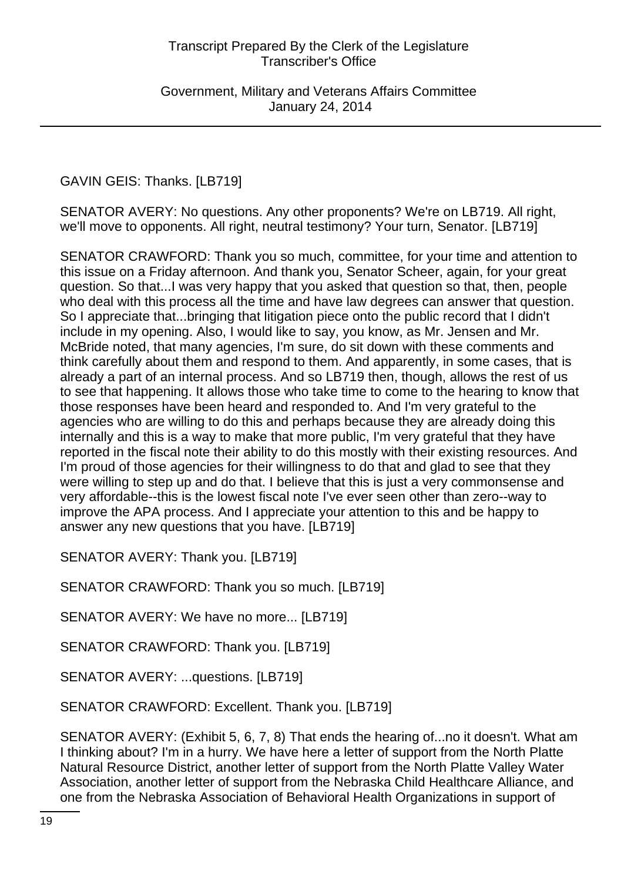GAVIN GEIS: Thanks. [LB719]

SENATOR AVERY: No questions. Any other proponents? We're on LB719. All right, we'll move to opponents. All right, neutral testimony? Your turn, Senator. [LB719]

SENATOR CRAWFORD: Thank you so much, committee, for your time and attention to this issue on a Friday afternoon. And thank you, Senator Scheer, again, for your great question. So that...I was very happy that you asked that question so that, then, people who deal with this process all the time and have law degrees can answer that question. So I appreciate that...bringing that litigation piece onto the public record that I didn't include in my opening. Also, I would like to say, you know, as Mr. Jensen and Mr. McBride noted, that many agencies, I'm sure, do sit down with these comments and think carefully about them and respond to them. And apparently, in some cases, that is already a part of an internal process. And so LB719 then, though, allows the rest of us to see that happening. It allows those who take time to come to the hearing to know that those responses have been heard and responded to. And I'm very grateful to the agencies who are willing to do this and perhaps because they are already doing this internally and this is a way to make that more public, I'm very grateful that they have reported in the fiscal note their ability to do this mostly with their existing resources. And I'm proud of those agencies for their willingness to do that and glad to see that they were willing to step up and do that. I believe that this is just a very commonsense and very affordable--this is the lowest fiscal note I've ever seen other than zero--way to improve the APA process. And I appreciate your attention to this and be happy to answer any new questions that you have. [LB719]

SENATOR AVERY: Thank you. [LB719]

SENATOR CRAWFORD: Thank you so much. [LB719]

SENATOR AVERY: We have no more... [LB719]

SENATOR CRAWFORD: Thank you. [LB719]

SENATOR AVERY: ...questions. [LB719]

SENATOR CRAWFORD: Excellent. Thank you. [LB719]

SENATOR AVERY: (Exhibit 5, 6, 7, 8) That ends the hearing of...no it doesn't. What am I thinking about? I'm in a hurry. We have here a letter of support from the North Platte Natural Resource District, another letter of support from the North Platte Valley Water Association, another letter of support from the Nebraska Child Healthcare Alliance, and one from the Nebraska Association of Behavioral Health Organizations in support of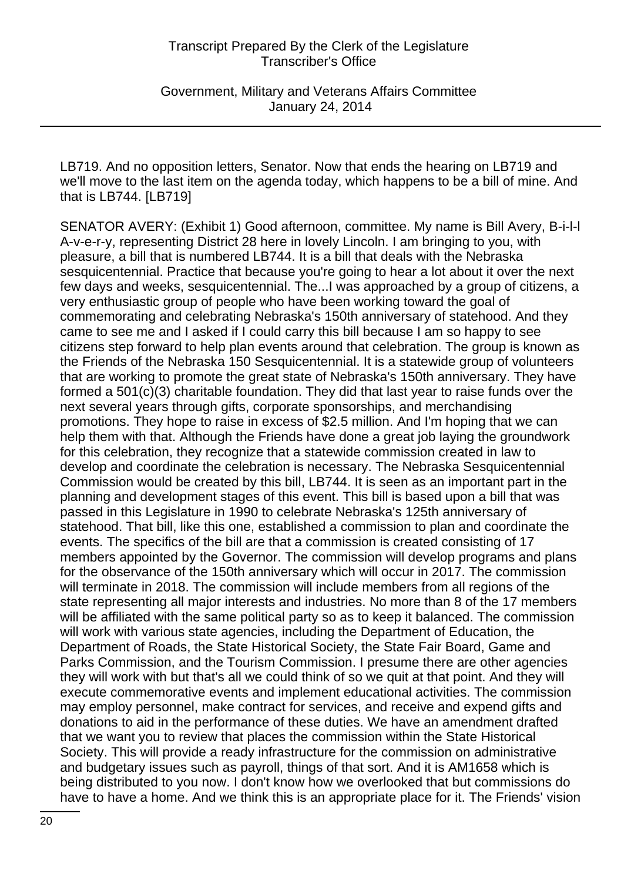Government, Military and Veterans Affairs Committee January 24, 2014

LB719. And no opposition letters, Senator. Now that ends the hearing on LB719 and we'll move to the last item on the agenda today, which happens to be a bill of mine. And that is LB744. [LB719]

SENATOR AVERY: (Exhibit 1) Good afternoon, committee. My name is Bill Avery, B-i-l-l A-v-e-r-y, representing District 28 here in lovely Lincoln. I am bringing to you, with pleasure, a bill that is numbered LB744. It is a bill that deals with the Nebraska sesquicentennial. Practice that because you're going to hear a lot about it over the next few days and weeks, sesquicentennial. The...I was approached by a group of citizens, a very enthusiastic group of people who have been working toward the goal of commemorating and celebrating Nebraska's 150th anniversary of statehood. And they came to see me and I asked if I could carry this bill because I am so happy to see citizens step forward to help plan events around that celebration. The group is known as the Friends of the Nebraska 150 Sesquicentennial. It is a statewide group of volunteers that are working to promote the great state of Nebraska's 150th anniversary. They have formed a 501(c)(3) charitable foundation. They did that last year to raise funds over the next several years through gifts, corporate sponsorships, and merchandising promotions. They hope to raise in excess of \$2.5 million. And I'm hoping that we can help them with that. Although the Friends have done a great job laying the groundwork for this celebration, they recognize that a statewide commission created in law to develop and coordinate the celebration is necessary. The Nebraska Sesquicentennial Commission would be created by this bill, LB744. It is seen as an important part in the planning and development stages of this event. This bill is based upon a bill that was passed in this Legislature in 1990 to celebrate Nebraska's 125th anniversary of statehood. That bill, like this one, established a commission to plan and coordinate the events. The specifics of the bill are that a commission is created consisting of 17 members appointed by the Governor. The commission will develop programs and plans for the observance of the 150th anniversary which will occur in 2017. The commission will terminate in 2018. The commission will include members from all regions of the state representing all major interests and industries. No more than 8 of the 17 members will be affiliated with the same political party so as to keep it balanced. The commission will work with various state agencies, including the Department of Education, the Department of Roads, the State Historical Society, the State Fair Board, Game and Parks Commission, and the Tourism Commission. I presume there are other agencies they will work with but that's all we could think of so we quit at that point. And they will execute commemorative events and implement educational activities. The commission may employ personnel, make contract for services, and receive and expend gifts and donations to aid in the performance of these duties. We have an amendment drafted that we want you to review that places the commission within the State Historical Society. This will provide a ready infrastructure for the commission on administrative and budgetary issues such as payroll, things of that sort. And it is AM1658 which is being distributed to you now. I don't know how we overlooked that but commissions do have to have a home. And we think this is an appropriate place for it. The Friends' vision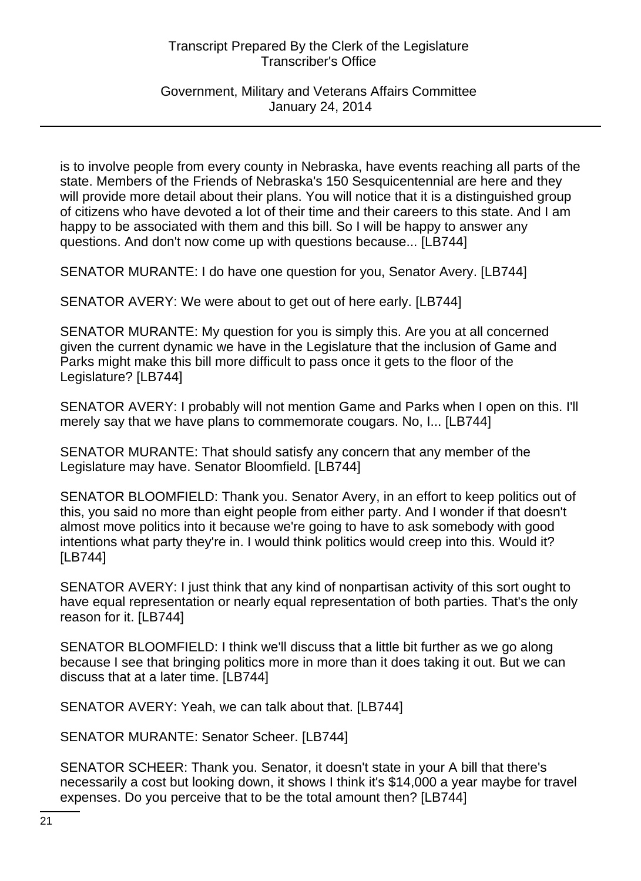Government, Military and Veterans Affairs Committee January 24, 2014

is to involve people from every county in Nebraska, have events reaching all parts of the state. Members of the Friends of Nebraska's 150 Sesquicentennial are here and they will provide more detail about their plans. You will notice that it is a distinguished group of citizens who have devoted a lot of their time and their careers to this state. And I am happy to be associated with them and this bill. So I will be happy to answer any questions. And don't now come up with questions because... [LB744]

SENATOR MURANTE: I do have one question for you, Senator Avery. [LB744]

SENATOR AVERY: We were about to get out of here early. [LB744]

SENATOR MURANTE: My question for you is simply this. Are you at all concerned given the current dynamic we have in the Legislature that the inclusion of Game and Parks might make this bill more difficult to pass once it gets to the floor of the Legislature? [LB744]

SENATOR AVERY: I probably will not mention Game and Parks when I open on this. I'll merely say that we have plans to commemorate cougars. No, I... [LB744]

SENATOR MURANTE: That should satisfy any concern that any member of the Legislature may have. Senator Bloomfield. [LB744]

SENATOR BLOOMFIELD: Thank you. Senator Avery, in an effort to keep politics out of this, you said no more than eight people from either party. And I wonder if that doesn't almost move politics into it because we're going to have to ask somebody with good intentions what party they're in. I would think politics would creep into this. Would it? [LB744]

SENATOR AVERY: I just think that any kind of nonpartisan activity of this sort ought to have equal representation or nearly equal representation of both parties. That's the only reason for it. [LB744]

SENATOR BLOOMFIELD: I think we'll discuss that a little bit further as we go along because I see that bringing politics more in more than it does taking it out. But we can discuss that at a later time. [LB744]

SENATOR AVERY: Yeah, we can talk about that. [LB744]

SENATOR MURANTE: Senator Scheer. [LB744]

SENATOR SCHEER: Thank you. Senator, it doesn't state in your A bill that there's necessarily a cost but looking down, it shows I think it's \$14,000 a year maybe for travel expenses. Do you perceive that to be the total amount then? [LB744]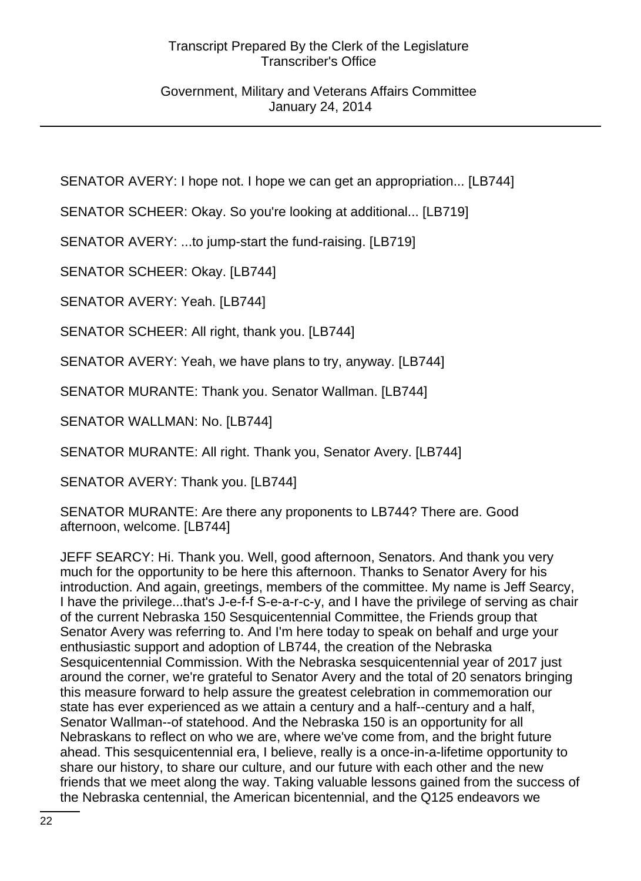Government, Military and Veterans Affairs Committee January 24, 2014

SENATOR AVERY: I hope not. I hope we can get an appropriation... [LB744]

SENATOR SCHEER: Okay. So you're looking at additional... [LB719]

SENATOR AVERY: ...to jump-start the fund-raising. [LB719]

SENATOR SCHEER: Okay. [LB744]

SENATOR AVERY: Yeah. [LB744]

SENATOR SCHEER: All right, thank you. [LB744]

SENATOR AVERY: Yeah, we have plans to try, anyway. [LB744]

SENATOR MURANTE: Thank you. Senator Wallman. [LB744]

SENATOR WALLMAN: No. [LB744]

SENATOR MURANTE: All right. Thank you, Senator Avery. [LB744]

SENATOR AVERY: Thank you. [LB744]

SENATOR MURANTE: Are there any proponents to LB744? There are. Good afternoon, welcome. [LB744]

JEFF SEARCY: Hi. Thank you. Well, good afternoon, Senators. And thank you very much for the opportunity to be here this afternoon. Thanks to Senator Avery for his introduction. And again, greetings, members of the committee. My name is Jeff Searcy, I have the privilege...that's J-e-f-f S-e-a-r-c-y, and I have the privilege of serving as chair of the current Nebraska 150 Sesquicentennial Committee, the Friends group that Senator Avery was referring to. And I'm here today to speak on behalf and urge your enthusiastic support and adoption of LB744, the creation of the Nebraska Sesquicentennial Commission. With the Nebraska sesquicentennial year of 2017 just around the corner, we're grateful to Senator Avery and the total of 20 senators bringing this measure forward to help assure the greatest celebration in commemoration our state has ever experienced as we attain a century and a half--century and a half, Senator Wallman--of statehood. And the Nebraska 150 is an opportunity for all Nebraskans to reflect on who we are, where we've come from, and the bright future ahead. This sesquicentennial era, I believe, really is a once-in-a-lifetime opportunity to share our history, to share our culture, and our future with each other and the new friends that we meet along the way. Taking valuable lessons gained from the success of the Nebraska centennial, the American bicentennial, and the Q125 endeavors we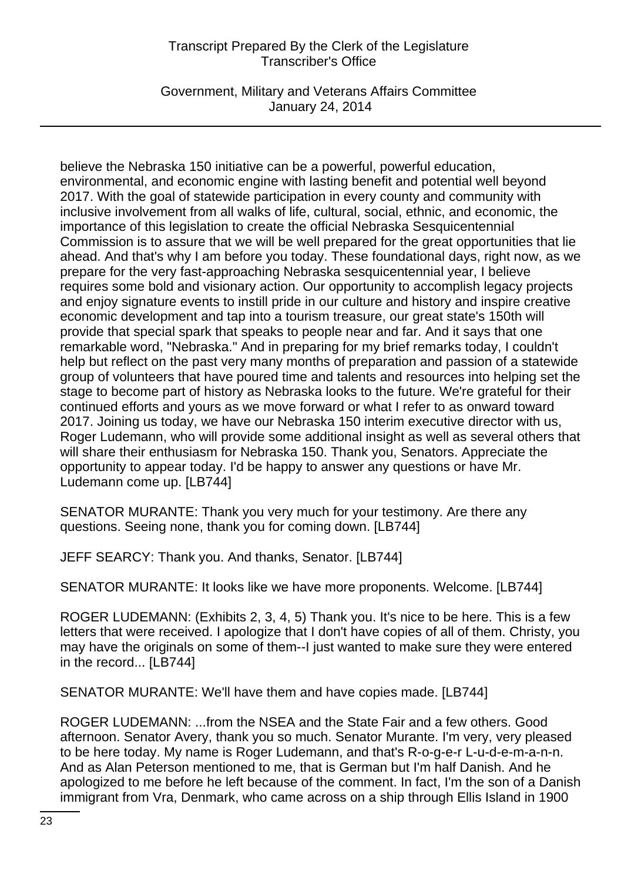Government, Military and Veterans Affairs Committee January 24, 2014

believe the Nebraska 150 initiative can be a powerful, powerful education, environmental, and economic engine with lasting benefit and potential well beyond 2017. With the goal of statewide participation in every county and community with inclusive involvement from all walks of life, cultural, social, ethnic, and economic, the importance of this legislation to create the official Nebraska Sesquicentennial Commission is to assure that we will be well prepared for the great opportunities that lie ahead. And that's why I am before you today. These foundational days, right now, as we prepare for the very fast-approaching Nebraska sesquicentennial year, I believe requires some bold and visionary action. Our opportunity to accomplish legacy projects and enjoy signature events to instill pride in our culture and history and inspire creative economic development and tap into a tourism treasure, our great state's 150th will provide that special spark that speaks to people near and far. And it says that one remarkable word, "Nebraska." And in preparing for my brief remarks today, I couldn't help but reflect on the past very many months of preparation and passion of a statewide group of volunteers that have poured time and talents and resources into helping set the stage to become part of history as Nebraska looks to the future. We're grateful for their continued efforts and yours as we move forward or what I refer to as onward toward 2017. Joining us today, we have our Nebraska 150 interim executive director with us, Roger Ludemann, who will provide some additional insight as well as several others that will share their enthusiasm for Nebraska 150. Thank you, Senators. Appreciate the opportunity to appear today. I'd be happy to answer any questions or have Mr. Ludemann come up. [LB744]

SENATOR MURANTE: Thank you very much for your testimony. Are there any questions. Seeing none, thank you for coming down. [LB744]

JEFF SEARCY: Thank you. And thanks, Senator. [LB744]

SENATOR MURANTE: It looks like we have more proponents. Welcome. [LB744]

ROGER LUDEMANN: (Exhibits 2, 3, 4, 5) Thank you. It's nice to be here. This is a few letters that were received. I apologize that I don't have copies of all of them. Christy, you may have the originals on some of them--I just wanted to make sure they were entered in the record... [LB744]

SENATOR MURANTE: We'll have them and have copies made. [LB744]

ROGER LUDEMANN: ...from the NSEA and the State Fair and a few others. Good afternoon. Senator Avery, thank you so much. Senator Murante. I'm very, very pleased to be here today. My name is Roger Ludemann, and that's R-o-g-e-r L-u-d-e-m-a-n-n. And as Alan Peterson mentioned to me, that is German but I'm half Danish. And he apologized to me before he left because of the comment. In fact, I'm the son of a Danish immigrant from Vra, Denmark, who came across on a ship through Ellis Island in 1900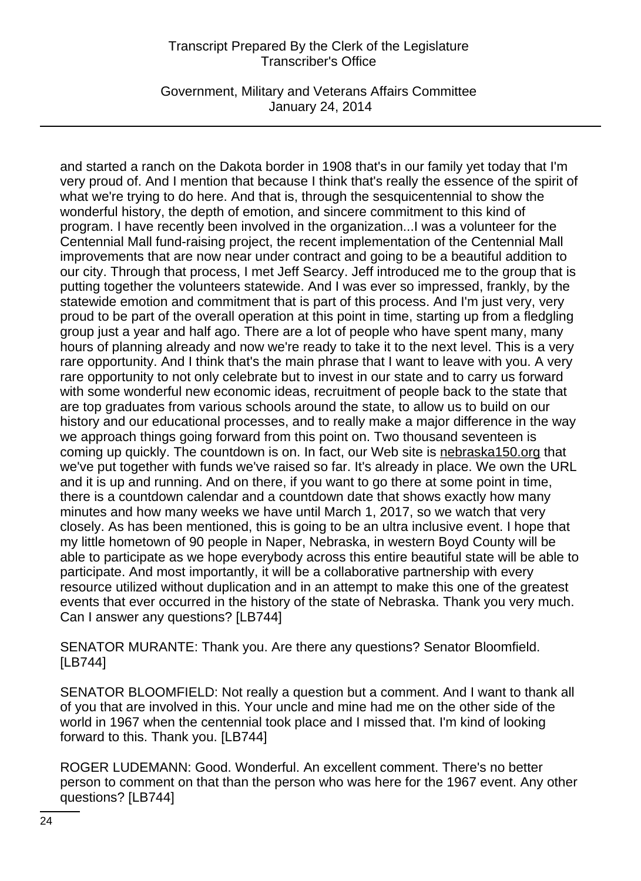Government, Military and Veterans Affairs Committee January 24, 2014

and started a ranch on the Dakota border in 1908 that's in our family yet today that I'm very proud of. And I mention that because I think that's really the essence of the spirit of what we're trying to do here. And that is, through the sesquicentennial to show the wonderful history, the depth of emotion, and sincere commitment to this kind of program. I have recently been involved in the organization...I was a volunteer for the Centennial Mall fund-raising project, the recent implementation of the Centennial Mall improvements that are now near under contract and going to be a beautiful addition to our city. Through that process, I met Jeff Searcy. Jeff introduced me to the group that is putting together the volunteers statewide. And I was ever so impressed, frankly, by the statewide emotion and commitment that is part of this process. And I'm just very, very proud to be part of the overall operation at this point in time, starting up from a fledgling group just a year and half ago. There are a lot of people who have spent many, many hours of planning already and now we're ready to take it to the next level. This is a very rare opportunity. And I think that's the main phrase that I want to leave with you. A very rare opportunity to not only celebrate but to invest in our state and to carry us forward with some wonderful new economic ideas, recruitment of people back to the state that are top graduates from various schools around the state, to allow us to build on our history and our educational processes, and to really make a major difference in the way we approach things going forward from this point on. Two thousand seventeen is coming up quickly. The countdown is on. In fact, our Web site is nebraska150.org that we've put together with funds we've raised so far. It's already in place. We own the URL and it is up and running. And on there, if you want to go there at some point in time, there is a countdown calendar and a countdown date that shows exactly how many minutes and how many weeks we have until March 1, 2017, so we watch that very closely. As has been mentioned, this is going to be an ultra inclusive event. I hope that my little hometown of 90 people in Naper, Nebraska, in western Boyd County will be able to participate as we hope everybody across this entire beautiful state will be able to participate. And most importantly, it will be a collaborative partnership with every resource utilized without duplication and in an attempt to make this one of the greatest events that ever occurred in the history of the state of Nebraska. Thank you very much. Can I answer any questions? [LB744]

SENATOR MURANTE: Thank you. Are there any questions? Senator Bloomfield. [LB744]

SENATOR BLOOMFIELD: Not really a question but a comment. And I want to thank all of you that are involved in this. Your uncle and mine had me on the other side of the world in 1967 when the centennial took place and I missed that. I'm kind of looking forward to this. Thank you. [LB744]

ROGER LUDEMANN: Good. Wonderful. An excellent comment. There's no better person to comment on that than the person who was here for the 1967 event. Any other questions? [LB744]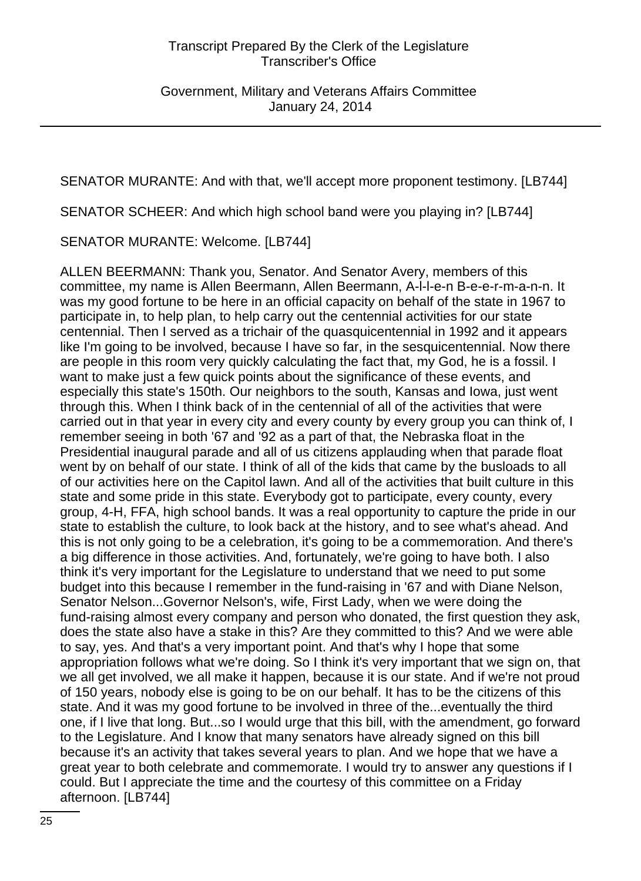SENATOR MURANTE: And with that, we'll accept more proponent testimony. [LB744]

SENATOR SCHEER: And which high school band were you playing in? [LB744]

SENATOR MURANTE: Welcome. [LB744]

ALLEN BEERMANN: Thank you, Senator. And Senator Avery, members of this committee, my name is Allen Beermann, Allen Beermann, A-l-l-e-n B-e-e-r-m-a-n-n. It was my good fortune to be here in an official capacity on behalf of the state in 1967 to participate in, to help plan, to help carry out the centennial activities for our state centennial. Then I served as a trichair of the quasquicentennial in 1992 and it appears like I'm going to be involved, because I have so far, in the sesquicentennial. Now there are people in this room very quickly calculating the fact that, my God, he is a fossil. I want to make just a few quick points about the significance of these events, and especially this state's 150th. Our neighbors to the south, Kansas and Iowa, just went through this. When I think back of in the centennial of all of the activities that were carried out in that year in every city and every county by every group you can think of, I remember seeing in both '67 and '92 as a part of that, the Nebraska float in the Presidential inaugural parade and all of us citizens applauding when that parade float went by on behalf of our state. I think of all of the kids that came by the busloads to all of our activities here on the Capitol lawn. And all of the activities that built culture in this state and some pride in this state. Everybody got to participate, every county, every group, 4-H, FFA, high school bands. It was a real opportunity to capture the pride in our state to establish the culture, to look back at the history, and to see what's ahead. And this is not only going to be a celebration, it's going to be a commemoration. And there's a big difference in those activities. And, fortunately, we're going to have both. I also think it's very important for the Legislature to understand that we need to put some budget into this because I remember in the fund-raising in '67 and with Diane Nelson, Senator Nelson...Governor Nelson's, wife, First Lady, when we were doing the fund-raising almost every company and person who donated, the first question they ask, does the state also have a stake in this? Are they committed to this? And we were able to say, yes. And that's a very important point. And that's why I hope that some appropriation follows what we're doing. So I think it's very important that we sign on, that we all get involved, we all make it happen, because it is our state. And if we're not proud of 150 years, nobody else is going to be on our behalf. It has to be the citizens of this state. And it was my good fortune to be involved in three of the...eventually the third one, if I live that long. But...so I would urge that this bill, with the amendment, go forward to the Legislature. And I know that many senators have already signed on this bill because it's an activity that takes several years to plan. And we hope that we have a great year to both celebrate and commemorate. I would try to answer any questions if I could. But I appreciate the time and the courtesy of this committee on a Friday afternoon. [LB744]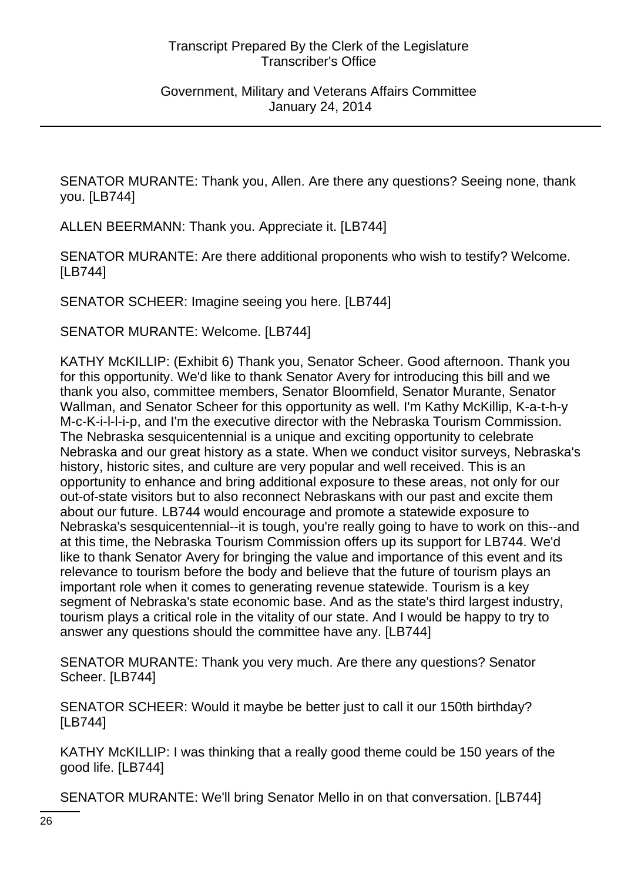SENATOR MURANTE: Thank you, Allen. Are there any questions? Seeing none, thank you. [LB744]

ALLEN BEERMANN: Thank you. Appreciate it. [LB744]

SENATOR MURANTE: Are there additional proponents who wish to testify? Welcome. [LB744]

SENATOR SCHEER: Imagine seeing you here. [LB744]

SENATOR MURANTE: Welcome. [LB744]

KATHY McKILLIP: (Exhibit 6) Thank you, Senator Scheer. Good afternoon. Thank you for this opportunity. We'd like to thank Senator Avery for introducing this bill and we thank you also, committee members, Senator Bloomfield, Senator Murante, Senator Wallman, and Senator Scheer for this opportunity as well. I'm Kathy McKillip, K-a-t-h-y M-c-K-i-l-l-i-p, and I'm the executive director with the Nebraska Tourism Commission. The Nebraska sesquicentennial is a unique and exciting opportunity to celebrate Nebraska and our great history as a state. When we conduct visitor surveys, Nebraska's history, historic sites, and culture are very popular and well received. This is an opportunity to enhance and bring additional exposure to these areas, not only for our out-of-state visitors but to also reconnect Nebraskans with our past and excite them about our future. LB744 would encourage and promote a statewide exposure to Nebraska's sesquicentennial--it is tough, you're really going to have to work on this--and at this time, the Nebraska Tourism Commission offers up its support for LB744. We'd like to thank Senator Avery for bringing the value and importance of this event and its relevance to tourism before the body and believe that the future of tourism plays an important role when it comes to generating revenue statewide. Tourism is a key segment of Nebraska's state economic base. And as the state's third largest industry, tourism plays a critical role in the vitality of our state. And I would be happy to try to answer any questions should the committee have any. [LB744]

SENATOR MURANTE: Thank you very much. Are there any questions? Senator Scheer. [LB744]

SENATOR SCHEER: Would it maybe be better just to call it our 150th birthday? [LB744]

KATHY McKILLIP: I was thinking that a really good theme could be 150 years of the good life. [LB744]

SENATOR MURANTE: We'll bring Senator Mello in on that conversation. [LB744]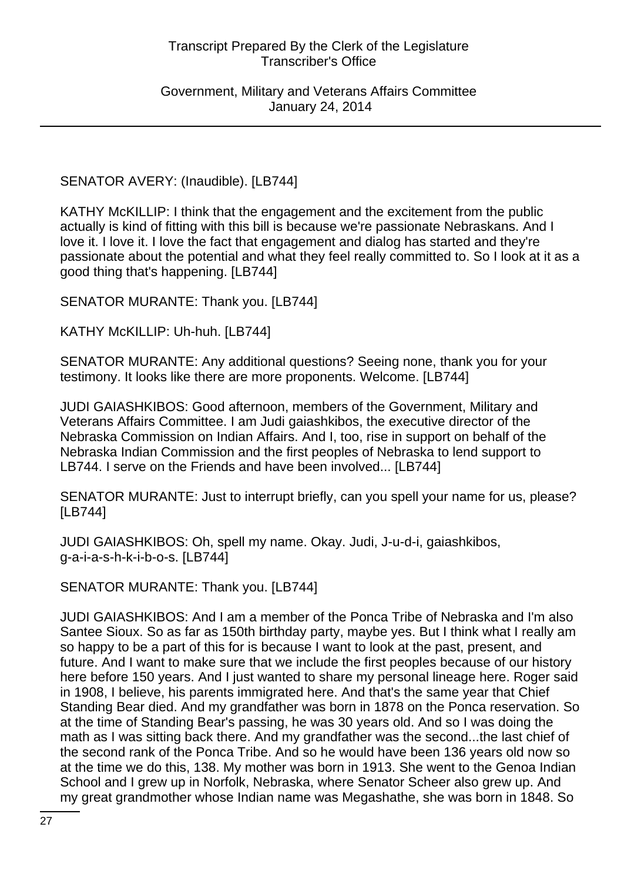Government, Military and Veterans Affairs Committee January 24, 2014

SENATOR AVERY: (Inaudible). [LB744]

KATHY McKILLIP: I think that the engagement and the excitement from the public actually is kind of fitting with this bill is because we're passionate Nebraskans. And I love it. I love it. I love the fact that engagement and dialog has started and they're passionate about the potential and what they feel really committed to. So I look at it as a good thing that's happening. [LB744]

SENATOR MURANTE: Thank you. [LB744]

KATHY McKILLIP: Uh-huh. [LB744]

SENATOR MURANTE: Any additional questions? Seeing none, thank you for your testimony. It looks like there are more proponents. Welcome. [LB744]

JUDI GAIASHKIBOS: Good afternoon, members of the Government, Military and Veterans Affairs Committee. I am Judi gaiashkibos, the executive director of the Nebraska Commission on Indian Affairs. And I, too, rise in support on behalf of the Nebraska Indian Commission and the first peoples of Nebraska to lend support to LB744. I serve on the Friends and have been involved... [LB744]

SENATOR MURANTE: Just to interrupt briefly, can you spell your name for us, please? [LB744]

JUDI GAIASHKIBOS: Oh, spell my name. Okay. Judi, J-u-d-i, gaiashkibos, g-a-i-a-s-h-k-i-b-o-s. [LB744]

SENATOR MURANTE: Thank you. [LB744]

JUDI GAIASHKIBOS: And I am a member of the Ponca Tribe of Nebraska and I'm also Santee Sioux. So as far as 150th birthday party, maybe yes. But I think what I really am so happy to be a part of this for is because I want to look at the past, present, and future. And I want to make sure that we include the first peoples because of our history here before 150 years. And I just wanted to share my personal lineage here. Roger said in 1908, I believe, his parents immigrated here. And that's the same year that Chief Standing Bear died. And my grandfather was born in 1878 on the Ponca reservation. So at the time of Standing Bear's passing, he was 30 years old. And so I was doing the math as I was sitting back there. And my grandfather was the second...the last chief of the second rank of the Ponca Tribe. And so he would have been 136 years old now so at the time we do this, 138. My mother was born in 1913. She went to the Genoa Indian School and I grew up in Norfolk, Nebraska, where Senator Scheer also grew up. And my great grandmother whose Indian name was Megashathe, she was born in 1848. So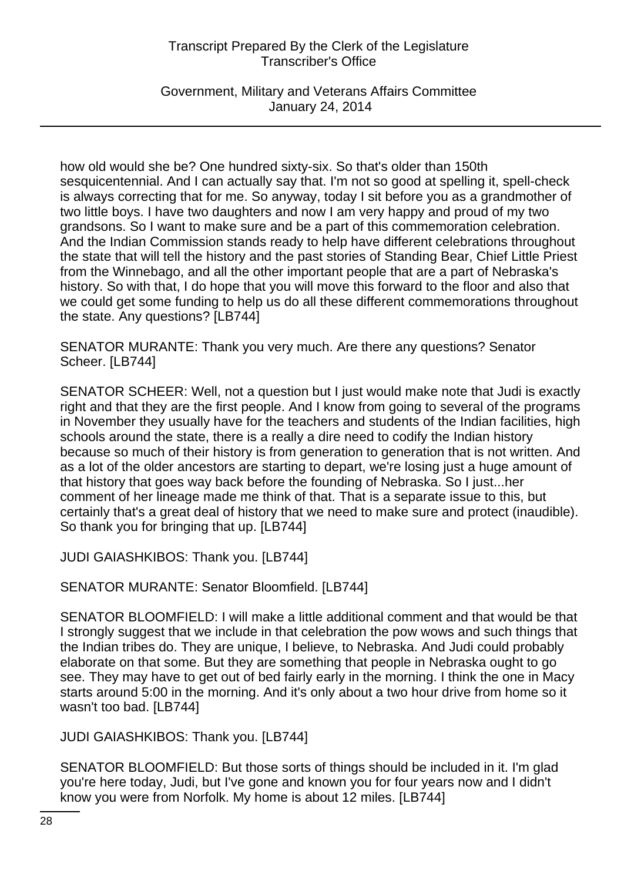Government, Military and Veterans Affairs Committee January 24, 2014

how old would she be? One hundred sixty-six. So that's older than 150th sesquicentennial. And I can actually say that. I'm not so good at spelling it, spell-check is always correcting that for me. So anyway, today I sit before you as a grandmother of two little boys. I have two daughters and now I am very happy and proud of my two grandsons. So I want to make sure and be a part of this commemoration celebration. And the Indian Commission stands ready to help have different celebrations throughout the state that will tell the history and the past stories of Standing Bear, Chief Little Priest from the Winnebago, and all the other important people that are a part of Nebraska's history. So with that, I do hope that you will move this forward to the floor and also that we could get some funding to help us do all these different commemorations throughout the state. Any questions? [LB744]

SENATOR MURANTE: Thank you very much. Are there any questions? Senator Scheer. [LB744]

SENATOR SCHEER: Well, not a question but I just would make note that Judi is exactly right and that they are the first people. And I know from going to several of the programs in November they usually have for the teachers and students of the Indian facilities, high schools around the state, there is a really a dire need to codify the Indian history because so much of their history is from generation to generation that is not written. And as a lot of the older ancestors are starting to depart, we're losing just a huge amount of that history that goes way back before the founding of Nebraska. So I just...her comment of her lineage made me think of that. That is a separate issue to this, but certainly that's a great deal of history that we need to make sure and protect (inaudible). So thank you for bringing that up. [LB744]

JUDI GAIASHKIBOS: Thank you. [LB744]

SENATOR MURANTE: Senator Bloomfield. [LB744]

SENATOR BLOOMFIELD: I will make a little additional comment and that would be that I strongly suggest that we include in that celebration the pow wows and such things that the Indian tribes do. They are unique, I believe, to Nebraska. And Judi could probably elaborate on that some. But they are something that people in Nebraska ought to go see. They may have to get out of bed fairly early in the morning. I think the one in Macy starts around 5:00 in the morning. And it's only about a two hour drive from home so it wasn't too bad. [LB744]

JUDI GAIASHKIBOS: Thank you. [LB744]

SENATOR BLOOMFIELD: But those sorts of things should be included in it. I'm glad you're here today, Judi, but I've gone and known you for four years now and I didn't know you were from Norfolk. My home is about 12 miles. [LB744]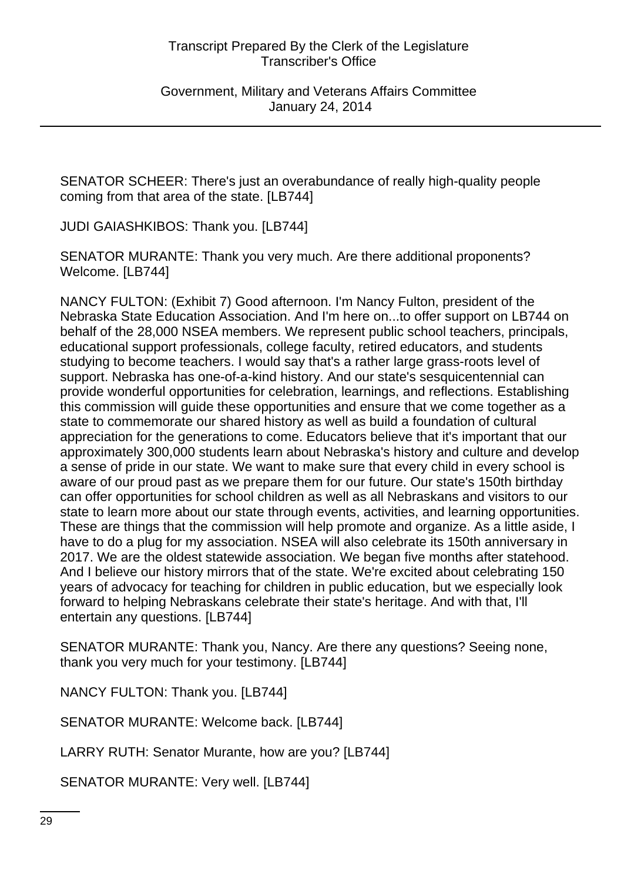SENATOR SCHEER: There's just an overabundance of really high-quality people coming from that area of the state. [LB744]

JUDI GAIASHKIBOS: Thank you. [LB744]

SENATOR MURANTE: Thank you very much. Are there additional proponents? Welcome. [LB744]

NANCY FULTON: (Exhibit 7) Good afternoon. I'm Nancy Fulton, president of the Nebraska State Education Association. And I'm here on...to offer support on LB744 on behalf of the 28,000 NSEA members. We represent public school teachers, principals, educational support professionals, college faculty, retired educators, and students studying to become teachers. I would say that's a rather large grass-roots level of support. Nebraska has one-of-a-kind history. And our state's sesquicentennial can provide wonderful opportunities for celebration, learnings, and reflections. Establishing this commission will guide these opportunities and ensure that we come together as a state to commemorate our shared history as well as build a foundation of cultural appreciation for the generations to come. Educators believe that it's important that our approximately 300,000 students learn about Nebraska's history and culture and develop a sense of pride in our state. We want to make sure that every child in every school is aware of our proud past as we prepare them for our future. Our state's 150th birthday can offer opportunities for school children as well as all Nebraskans and visitors to our state to learn more about our state through events, activities, and learning opportunities. These are things that the commission will help promote and organize. As a little aside, I have to do a plug for my association. NSEA will also celebrate its 150th anniversary in 2017. We are the oldest statewide association. We began five months after statehood. And I believe our history mirrors that of the state. We're excited about celebrating 150 years of advocacy for teaching for children in public education, but we especially look forward to helping Nebraskans celebrate their state's heritage. And with that, I'll entertain any questions. [LB744]

SENATOR MURANTE: Thank you, Nancy. Are there any questions? Seeing none, thank you very much for your testimony. [LB744]

NANCY FULTON: Thank you. [LB744]

SENATOR MURANTE: Welcome back. [LB744]

LARRY RUTH: Senator Murante, how are you? [LB744]

SENATOR MURANTE: Very well. [LB744]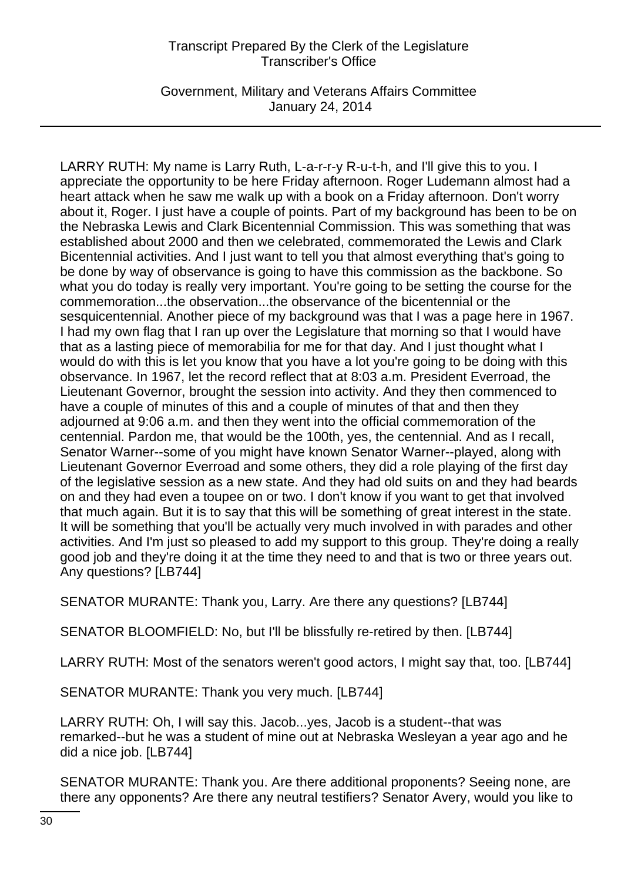Government, Military and Veterans Affairs Committee January 24, 2014

LARRY RUTH: My name is Larry Ruth, L-a-r-r-y R-u-t-h, and I'll give this to you. I appreciate the opportunity to be here Friday afternoon. Roger Ludemann almost had a heart attack when he saw me walk up with a book on a Friday afternoon. Don't worry about it, Roger. I just have a couple of points. Part of my background has been to be on the Nebraska Lewis and Clark Bicentennial Commission. This was something that was established about 2000 and then we celebrated, commemorated the Lewis and Clark Bicentennial activities. And I just want to tell you that almost everything that's going to be done by way of observance is going to have this commission as the backbone. So what you do today is really very important. You're going to be setting the course for the commemoration...the observation...the observance of the bicentennial or the sesquicentennial. Another piece of my background was that I was a page here in 1967. I had my own flag that I ran up over the Legislature that morning so that I would have that as a lasting piece of memorabilia for me for that day. And I just thought what I would do with this is let you know that you have a lot you're going to be doing with this observance. In 1967, let the record reflect that at 8:03 a.m. President Everroad, the Lieutenant Governor, brought the session into activity. And they then commenced to have a couple of minutes of this and a couple of minutes of that and then they adjourned at 9:06 a.m. and then they went into the official commemoration of the centennial. Pardon me, that would be the 100th, yes, the centennial. And as I recall, Senator Warner--some of you might have known Senator Warner--played, along with Lieutenant Governor Everroad and some others, they did a role playing of the first day of the legislative session as a new state. And they had old suits on and they had beards on and they had even a toupee on or two. I don't know if you want to get that involved that much again. But it is to say that this will be something of great interest in the state. It will be something that you'll be actually very much involved in with parades and other activities. And I'm just so pleased to add my support to this group. They're doing a really good job and they're doing it at the time they need to and that is two or three years out. Any questions? [LB744]

SENATOR MURANTE: Thank you, Larry. Are there any questions? [LB744]

SENATOR BLOOMFIELD: No, but I'll be blissfully re-retired by then. [LB744]

LARRY RUTH: Most of the senators weren't good actors, I might say that, too. [LB744]

SENATOR MURANTE: Thank you very much. [LB744]

LARRY RUTH: Oh, I will say this. Jacob...yes, Jacob is a student--that was remarked--but he was a student of mine out at Nebraska Wesleyan a year ago and he did a nice job. [LB744]

SENATOR MURANTE: Thank you. Are there additional proponents? Seeing none, are there any opponents? Are there any neutral testifiers? Senator Avery, would you like to